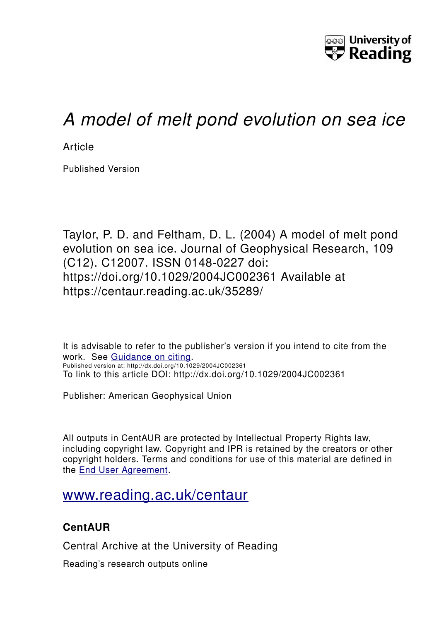

# *A model of melt pond evolution on sea ice*

**Article** 

Published Version

Taylor, P. D. and Feltham, D. L. (2004) A model of melt pond evolution on sea ice. Journal of Geophysical Research, 109 (C12). C12007. ISSN 0148-0227 doi: https://doi.org/10.1029/2004JC002361 Available at https://centaur.reading.ac.uk/35289/

It is advisable to refer to the publisher's version if you intend to cite from the work. See [Guidance on citing.](http://centaur.reading.ac.uk/71187/10/CentAUR%20citing%20guide.pdf) Published version at: http://dx.doi.org/10.1029/2004JC002361 To link to this article DOI: http://dx.doi.org/10.1029/2004JC002361

Publisher: American Geophysical Union

All outputs in CentAUR are protected by Intellectual Property Rights law, including copyright law. Copyright and IPR is retained by the creators or other copyright holders. Terms and conditions for use of this material are defined in the [End User Agreement.](http://centaur.reading.ac.uk/licence)

## [www.reading.ac.uk/centaur](http://www.reading.ac.uk/centaur)

### **CentAUR**

Central Archive at the University of Reading

Reading's research outputs online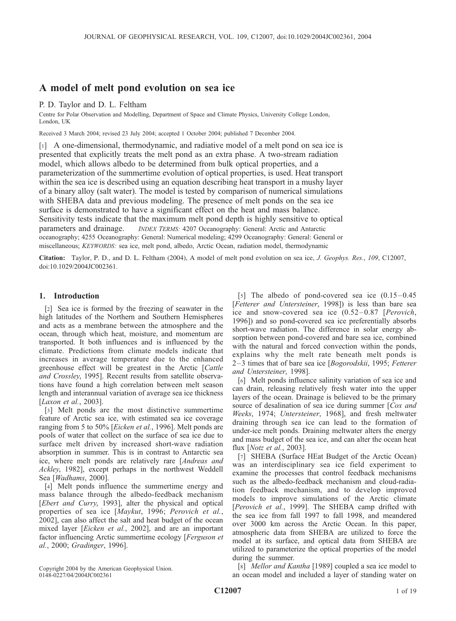### A model of melt pond evolution on sea ice

P. D. Taylor and D. L. Feltham

Centre for Polar Observation and Modelling, Department of Space and Climate Physics, University College London, London, UK

Received 3 March 2004; revised 23 July 2004; accepted 1 October 2004; published 7 December 2004.

[1] A one-dimensional, thermodynamic, and radiative model of a melt pond on sea ice is presented that explicitly treats the melt pond as an extra phase. A two-stream radiation model, which allows albedo to be determined from bulk optical properties, and a parameterization of the summertime evolution of optical properties, is used. Heat transport within the sea ice is described using an equation describing heat transport in a mushy layer of a binary alloy (salt water). The model is tested by comparison of numerical simulations with SHEBA data and previous modeling. The presence of melt ponds on the sea ice surface is demonstrated to have a significant effect on the heat and mass balance. Sensitivity tests indicate that the maximum melt pond depth is highly sensitive to optical parameters and drainage. *INDEX TERMS:* 4207 Oceanography: General: Arctic and Antarctic oceanography; 4255 Oceanography: General: Numerical modeling; 4299 Oceanography: General: General or miscellaneous; KEYWORDS: sea ice, melt pond, albedo, Arctic Ocean, radiation model, thermodynamic

Citation: Taylor, P. D., and D. L. Feltham (2004), A model of melt pond evolution on sea ice, J. Geophys. Res., 109, C12007, doi:10.1029/2004JC002361.

#### 1. Introduction

[2] Sea ice is formed by the freezing of seawater in the high latitudes of the Northern and Southern Hemispheres and acts as a membrane between the atmosphere and the ocean, through which heat, moisture, and momentum are transported. It both influences and is influenced by the climate. Predictions from climate models indicate that increases in average temperature due to the enhanced greenhouse effect will be greatest in the Arctic [Cattle and Crossley, 1995]. Recent results from satellite observations have found a high correlation between melt season length and interannual variation of average sea ice thickness [*Laxon et al.*, 2003].

[3] Melt ponds are the most distinctive summertime feature of Arctic sea ice, with estimated sea ice coverage ranging from 5 to 50% [Eicken et al., 1996]. Melt ponds are pools of water that collect on the surface of sea ice due to surface melt driven by increased short-wave radiation absorption in summer. This is in contrast to Antarctic sea ice, where melt ponds are relatively rare [Andreas and Ackley, 1982], except perhaps in the northwest Weddell Sea [Wadhams, 2000].

[4] Melt ponds influence the summertime energy and mass balance through the albedo-feedback mechanism [Ebert and Curry, 1993], alter the physical and optical properties of sea ice [Maykut, 1996; Perovich et al., 2002], can also affect the salt and heat budget of the ocean mixed layer [Eicken et al., 2002], and are an important factor influencing Arctic summertime ecology [Ferguson et al., 2000; Gradinger, 1996].

Copyright 2004 by the American Geophysical Union. 0148-0227/04/2004JC002361

[5] The albedo of pond-covered sea ice  $(0.15-0.45)$ [Fetterer and Untersteiner, 1998]) is less than bare sea ice and snow-covered sea ice  $(0.52-0.87)$  [*Perovich*, 1996]) and so pond-covered sea ice preferentially absorbs short-wave radiation. The difference in solar energy absorption between pond-covered and bare sea ice, combined with the natural and forced convection within the ponds, explains why the melt rate beneath melt ponds is 2–3 times that of bare sea ice [Bogorodskii, 1995; Fetterer and Untersteiner, 1998].

[6] Melt ponds influence salinity variation of sea ice and can drain, releasing relatively fresh water into the upper layers of the ocean. Drainage is believed to be the primary source of desalination of sea ice during summer [Cox and Weeks, 1974; Untersteiner, 1968], and fresh meltwater draining through sea ice can lead to the formation of under-ice melt ponds. Draining meltwater alters the energy and mass budget of the sea ice, and can alter the ocean heat flux [Notz et al., 2003].

[7] SHEBA (Surface HEat Budget of the Arctic Ocean) was an interdisciplinary sea ice field experiment to examine the processes that control feedback mechanisms such as the albedo-feedback mechanism and cloud-radiation feedback mechanism, and to develop improved models to improve simulations of the Arctic climate [Perovich et al., 1999]. The SHEBA camp drifted with the sea ice from fall 1997 to fall 1998, and meandered over 3000 km across the Arctic Ocean. In this paper, atmospheric data from SHEBA are utilized to force the model at its surface, and optical data from SHEBA are utilized to parameterize the optical properties of the model during the summer.

[8] Mellor and Kantha [1989] coupled a sea ice model to an ocean model and included a layer of standing water on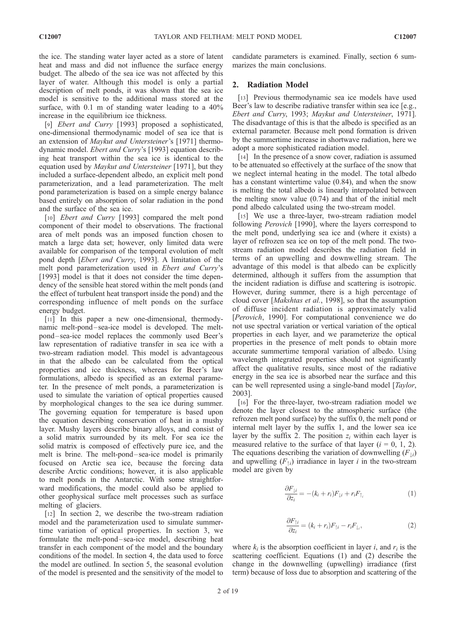the ice. The standing water layer acted as a store of latent heat and mass and did not influence the surface energy budget. The albedo of the sea ice was not affected by this layer of water. Although this model is only a partial description of melt ponds, it was shown that the sea ice model is sensitive to the additional mass stored at the surface, with 0.1 m of standing water leading to a  $40\%$ increase in the equilibrium ice thickness.

[9] Ebert and Curry [1993] proposed a sophisticated, one-dimensional thermodynamic model of sea ice that is an extension of Maykut and Untersteiner's [1971] thermodynamic model. Ebert and Curry's [1993] equation describing heat transport within the sea ice is identical to the equation used by *Maykut and Untersteiner* [1971], but they included a surface-dependent albedo, an explicit melt pond parameterization, and a lead parameterization. The melt pond parameterization is based on a simple energy balance based entirely on absorption of solar radiation in the pond and the surface of the sea ice.

[10] *Ebert and Curry* [1993] compared the melt pond component of their model to observations. The fractional area of melt ponds was an imposed function chosen to match a large data set; however, only limited data were available for comparison of the temporal evolution of melt pond depth [Ebert and Curry, 1993]. A limitation of the melt pond parameterization used in Ebert and Curry's [1993] model is that it does not consider the time dependency of the sensible heat stored within the melt ponds (and the effect of turbulent heat transport inside the pond) and the corresponding influence of melt ponds on the surface energy budget.

[11] In this paper a new one-dimensional, thermodynamic melt-pond –sea-ice model is developed. The meltpond – sea-ice model replaces the commonly used Beer's law representation of radiative transfer in sea ice with a two-stream radiation model. This model is advantageous in that the albedo can be calculated from the optical properties and ice thickness, whereas for Beer's law formulations, albedo is specified as an external parameter. In the presence of melt ponds, a parameterization is used to simulate the variation of optical properties caused by morphological changes to the sea ice during summer. The governing equation for temperature is based upon the equation describing conservation of heat in a mushy layer. Mushy layers describe binary alloys, and consist of a solid matrix surrounded by its melt. For sea ice the solid matrix is composed of effectively pure ice, and the melt is brine. The melt-pond – sea-ice model is primarily focused on Arctic sea ice, because the forcing data describe Arctic conditions; however, it is also applicable to melt ponds in the Antarctic. With some straightforward modifications, the model could also be applied to other geophysical surface melt processes such as surface melting of glaciers.

[12] In section 2, we describe the two-stream radiation model and the parameterization used to simulate summertime variation of optical properties. In section 3, we formulate the melt-pond – sea-ice model, describing heat transfer in each component of the model and the boundary conditions of the model. In section 4, the data used to force the model are outlined. In section 5, the seasonal evolution of the model is presented and the sensitivity of the model to

candidate parameters is examined. Finally, section 6 summarizes the main conclusions.

#### 2. Radiation Model

[13] Previous thermodynamic sea ice models have used Beer's law to describe radiative transfer within sea ice [e.g., Ebert and Curry, 1993; Maykut and Untersteiner, 1971]. The disadvantage of this is that the albedo is specified as an external parameter. Because melt pond formation is driven by the summertime increase in shortwave radiation, here we adopt a more sophisticated radiation model.

[14] In the presence of a snow cover, radiation is assumed to be attenuated so effectively at the surface of the snow that we neglect internal heating in the model. The total albedo has a constant wintertime value (0.84), and when the snow is melting the total albedo is linearly interpolated between the melting snow value (0.74) and that of the initial melt pond albedo calculated using the two-stream model.

[15] We use a three-layer, two-stream radiation model following Perovich [1990], where the layers correspond to the melt pond, underlying sea ice and (where it exists) a layer of refrozen sea ice on top of the melt pond. The twostream radiation model describes the radiation field in terms of an upwelling and downwelling stream. The advantage of this model is that albedo can be explicitly determined, although it suffers from the assumption that the incident radiation is diffuse and scattering is isotropic. However, during summer, there is a high percentage of cloud cover [Makshtas et al., 1998], so that the assumption of diffuse incident radiation is approximately valid [Perovich, 1990]. For computational convenience we do not use spectral variation or vertical variation of the optical properties in each layer, and we parameterize the optical properties in the presence of melt ponds to obtain more accurate summertime temporal variation of albedo. Using wavelength integrated properties should not significantly affect the qualitative results, since most of the radiative energy in the sea ice is absorbed near the surface and this can be well represented using a single-band model [Taylor, 2003].

[16] For the three-layer, two-stream radiation model we denote the layer closest to the atmospheric surface (the refrozen melt pond surface) by the suffix 0, the melt pond or internal melt layer by the suffix 1, and the lower sea ice layer by the suffix 2. The position  $z_i$  within each layer is measured relative to the surface of that layer  $(i = 0, 1, 2)$ . The equations describing the variation of downwelling  $(F_{1i})$ and upwelling  $(F_{\uparrow i})$  irradiance in layer *i* in the two-stream model are given by

$$
\frac{\partial F_{\downarrow i}}{\partial z_i} = -(k_i + r_i) F_{\downarrow i} + r_i F_{\uparrow i} \tag{1}
$$

$$
\frac{\partial F_{\uparrow i}}{\partial z_i} = (k_i + r_i) F_{\uparrow i} - r_i F_{\downarrow_i},\tag{2}
$$

where  $k_i$  is the absorption coefficient in layer i, and  $r_i$  is the scattering coefficient. Equations (1) and (2) describe the change in the downwelling (upwelling) irradiance (first term) because of loss due to absorption and scattering of the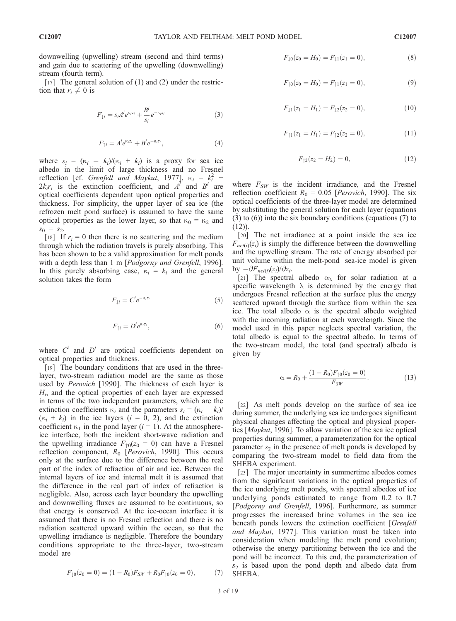[17] The general solution of (1) and (2) under the restriction that  $r_i \neq 0$  is

$$
F_{\downarrow i} = s_i A^i e^{\kappa_i z_i} + \frac{B^i}{s_i} e^{-\kappa_i z_i}
$$
 (3)

$$
F_{\uparrow i} = A^i e^{\kappa_i z_i} + B^i e^{-\kappa_i z_i},\tag{4}
$$

where  $s_i = (\kappa_i - k_i)/(\kappa_i + k_i)$  is a proxy for sea ice albedo in the limit of large thickness and no Fresnel reflection [cf. *Grenfell and Maykut*, 1977],  $\kappa_i = k_i^2$  +  $2k_ir_i$  is the extinction coefficient, and  $A^i$  and  $B^i$  are optical coefficients dependent upon optical properties and thickness. For simplicity, the upper layer of sea ice (the refrozen melt pond surface) is assumed to have the same optical properties as the lower layer, so that  $\kappa_0 = \kappa_2$  and  $s_0 = s_2$ .

[18] If  $r_i = 0$  then there is no scattering and the medium through which the radiation travels is purely absorbing. This has been shown to be a valid approximation for melt ponds with a depth less than 1 m [*Podgorny and Grenfell*, 1996]. In this purely absorbing case,  $\kappa_i = k_i$  and the general solution takes the form

$$
F_{\downarrow i} = C^i e^{-\kappa_i z_i} \tag{5}
$$

$$
F_{\uparrow i} = D^i e^{\kappa_i z_i},\tag{6}
$$

where  $C^i$  and  $D^i$  are optical coefficients dependent on optical properties and thickness.

[19] The boundary conditions that are used in the threelayer, two-stream radiation model are the same as those used by Perovich [1990]. The thickness of each layer is  $H<sub>i</sub>$ , and the optical properties of each layer are expressed in terms of the two independent parameters, which are the extinction coefficients  $\kappa_i$  and the parameters  $s_i = (\kappa_i - k_i)$ /  $(\kappa_i + k_i)$  in the ice layers  $(i = 0, 2)$ , and the extinction coefficient  $\kappa_1$  in the pond layer ( $i = 1$ ). At the atmosphereice interface, both the incident short-wave radiation and the upwelling irradiance  $F_{\uparrow 0}(z_0 = 0)$  can have a Fresnel reflection component,  $R_0$  [Perovich, 1990]. This occurs only at the surface due to the difference between the real part of the index of refraction of air and ice. Between the internal layers of ice and internal melt it is assumed that the difference in the real part of index of refraction is negligible. Also, across each layer boundary the upwelling and downwelling fluxes are assumed to be continuous, so that energy is conserved. At the ice-ocean interface it is assumed that there is no Fresnel reflection and there is no radiation scattered upward within the ocean, so that the upwelling irradiance is negligible. Therefore the boundary conditions appropriate to the three-layer, two-stream model are

$$
F_{\downarrow 0}(z_0 = 0) = (1 - R_0)F_{SW} + R_0 F_{\uparrow 0}(z_0 = 0), \tag{7}
$$

$$
f_{\rm{max}}
$$

C12007

$$
F_{\downarrow 0}(z_0 = H_0) = F_{\downarrow 1}(z_1 = 0), \tag{8}
$$

$$
F_{\uparrow 0}(z_0 = H_0) = F_{\uparrow 1}(z_1 = 0), \tag{9}
$$

$$
F_{\downarrow 1}(z_1 = H_1) = F_{\downarrow 2}(z_2 = 0), \tag{10}
$$

$$
F_{\uparrow 1}(z_1 = H_1) = F_{\uparrow 2}(z_2 = 0), \tag{11}
$$

$$
F_{\uparrow 2}(z_2 = H_2) = 0,\t\t(12)
$$

where  $F_{SW}$  is the incident irradiance, and the Fresnel reflection coefficient  $R_0 = 0.05$  [*Perovich*, 1990]. The six optical coefficients of the three-layer model are determined by substituting the general solution for each layer (equations (3) to (6)) into the six boundary conditions (equations (7) to  $(12)$ ).

[20] The net irradiance at a point inside the sea ice  $F_{net(i)}(z_i)$  is simply the difference between the downwelling and the upwelling stream. The rate of energy absorbed per unit volume within the melt-pond – sea-ice model is given by  $-\partial F_{net(i)}(z_i)/\partial z_i$ .

[21] The spectral albedo  $\alpha_{\lambda}$  for solar radiation at a specific wavelength  $\lambda$  is determined by the energy that undergoes Fresnel reflection at the surface plus the energy scattered upward through the surface from within the sea ice. The total albedo  $\alpha$  is the spectral albedo weighted with the incoming radiation at each wavelength. Since the model used in this paper neglects spectral variation, the total albedo is equal to the spectral albedo. In terms of the two-stream model, the total (and spectral) albedo is given by

$$
\alpha = R_0 + \frac{(1 - R_0)F_{\uparrow 0}(z_0 = 0)}{F_{SW}}.\tag{13}
$$

[22] As melt ponds develop on the surface of sea ice during summer, the underlying sea ice undergoes significant physical changes affecting the optical and physical properties [Maykut, 1996]. To allow variation of the sea ice optical properties during summer, a parameterization for the optical parameter  $s_2$  in the presence of melt ponds is developed by comparing the two-stream model to field data from the SHEBA experiment.

[23] The major uncertainty in summertime albedos comes from the significant variations in the optical properties of the ice underlying melt ponds, with spectral albedos of ice underlying ponds estimated to range from 0.2 to 0.7 [Podgorny and Grenfell, 1996]. Furthermore, as summer progresses the increased brine volumes in the sea ice beneath ponds lowers the extinction coefficient [Grenfell and Maykut, 1977]. This variation must be taken into consideration when modeling the melt pond evolution; otherwise the energy partitioning between the ice and the pond will be incorrect. To this end, the parameterization of  $s<sub>2</sub>$  is based upon the pond depth and albedo data from SHEBA.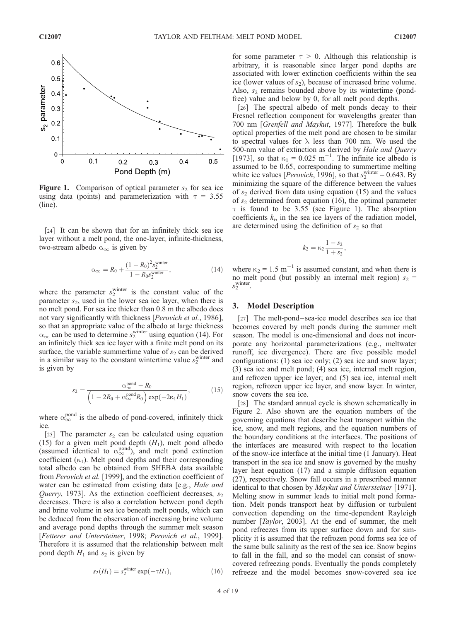

**Figure 1.** Comparison of optical parameter  $s_2$  for sea ice using data (points) and parameterization with  $\tau = 3.55$ (line).

[24] It can be shown that for an infinitely thick sea ice layer without a melt pond, the one-layer, infinite-thickness, two-stream albedo  $\alpha_{\infty}$  is given by

$$
\alpha_{\infty} = R_0 + \frac{(1 - R_0)^2 s_2^{\text{winter}}}{1 - R_0 s_2^{\text{winter}}},
$$
\n(14)

where the parameter  $s_2^{\text{winter}}$  is the constant value of the parameter  $s_2$ , used in the lower sea ice layer, when there is no melt pond. For sea ice thicker than 0.8 m the albedo does not vary significantly with thickness [Perovich et al., 1986], so that an appropriate value of the albedo at large thickness  $\alpha_{\infty}$  can be used to determine s<sup>winter</sup> using equation (14). For an infinitely thick sea ice layer with a finite melt pond on its surface, the variable summertime value of  $s_2$  can be derived in a similar way to the constant wintertime value  $s_2^{\text{winter}}$  and is given by

$$
s_2 = \frac{\alpha_{\infty}^{\text{pond}} - R_0}{\left(1 - 2R_0 + \alpha_{\infty}^{\text{pond}} R_0\right) \exp(-2\kappa_1 H_1)},\tag{15}
$$

where  $\alpha_{\infty}^{\text{pond}}$  is the albedo of pond-covered, infinitely thick ice.

[25] The parameter  $s_2$  can be calculated using equation (15) for a given melt pond depth  $(H_1)$ , melt pond albedo (assumed identical to  $\alpha_{\infty}^{\text{pond}}$ ), and melt pond extinction coefficient  $(\kappa_1)$ . Melt pond depths and their corresponding total albedo can be obtained from SHEBA data available from Perovich et al. [1999], and the extinction coefficient of water can be estimated from existing data [e.g., Hale and *Querry*, 1973]. As the extinction coefficient decreases,  $s_2$ decreases. There is also a correlation between pond depth and brine volume in sea ice beneath melt ponds, which can be deduced from the observation of increasing brine volume and average pond depths through the summer melt season [Fetterer and Untersteiner, 1998; Perovich et al., 1999]. Therefore it is assumed that the relationship between melt pond depth  $H_1$  and  $s_2$  is given by

$$
s_2(H_1) = s_2^{\text{winter}} \exp(-\tau H_1), \tag{16}
$$

for some parameter  $\tau > 0$ . Although this relationship is arbitrary, it is reasonable since larger pond depths are associated with lower extinction coefficients within the sea ice (lower values of  $s_2$ ), because of increased brine volume. Also,  $s_2$  remains bounded above by its wintertime (pondfree) value and below by 0, for all melt pond depths.

[26] The spectral albedo of melt ponds decay to their Fresnel reflection component for wavelengths greater than 700 nm [Grenfell and Maykut, 1977]. Therefore the bulk optical properties of the melt pond are chosen to be similar to spectral values for  $\lambda$  less than 700 nm. We used the 500-nm value of extinction as derived by Hale and Querry [1973], so that  $\kappa_1 = 0.025$  m<sup>-1</sup>. The infinite ice albedo is assumed to be 0.65, corresponding to summertime melting white ice values [*Perovich*, 1996], so that  $s_2^{\text{winter}} = 0.643$ . By minimizing the square of the difference between the values of  $s_2$  derived from data using equation (15) and the values of  $s_2$  determined from equation (16), the optimal parameter  $\tau$  is found to be 3.55 (see Figure 1). The absorption coefficients  $k_i$ , in the sea ice layers of the radiation model, are determined using the definition of  $s_2$  so that

$$
k_2 = \kappa_2 \frac{1 - s_2}{1 + s_2},
$$

where  $\kappa_2 = 1.5 \text{ m}^{-1}$  is assumed constant, and when there is no melt pond (but possibly an internal melt region)  $s_2$  =  $s_2^{\text{winter}}$ .

#### 3. Model Description

[27] The melt-pond-sea-ice model describes sea ice that becomes covered by melt ponds during the summer melt season. The model is one-dimensional and does not incorporate any horizontal parameterizations (e.g., meltwater runoff, ice divergence). There are five possible model configurations: (1) sea ice only; (2) sea ice and snow layer; (3) sea ice and melt pond; (4) sea ice, internal melt region, and refrozen upper ice layer; and (5) sea ice, internal melt region, refrozen upper ice layer, and snow layer. In winter, snow covers the sea ice.

[28] The standard annual cycle is shown schematically in Figure 2. Also shown are the equation numbers of the governing equations that describe heat transport within the ice, snow, and melt regions, and the equation numbers of the boundary conditions at the interfaces. The positions of the interfaces are measured with respect to the location of the snow-ice interface at the initial time (1 January). Heat transport in the sea ice and snow is governed by the mushy layer heat equation (17) and a simple diffusion equation (27), respectively. Snow fall occurs in a prescribed manner identical to that chosen by *Maykut and Untersteiner* [1971]. Melting snow in summer leads to initial melt pond formation. Melt ponds transport heat by diffusion or turbulent convection depending on the time-dependent Rayleigh number [*Taylor*, 2003]. At the end of summer, the melt pond refreezes from its upper surface down and for simplicity it is assumed that the refrozen pond forms sea ice of the same bulk salinity as the rest of the sea ice. Snow begins to fall in the fall, and so the model can consist of snowcovered refreezing ponds. Eventually the ponds completely refreeze and the model becomes snow-covered sea ice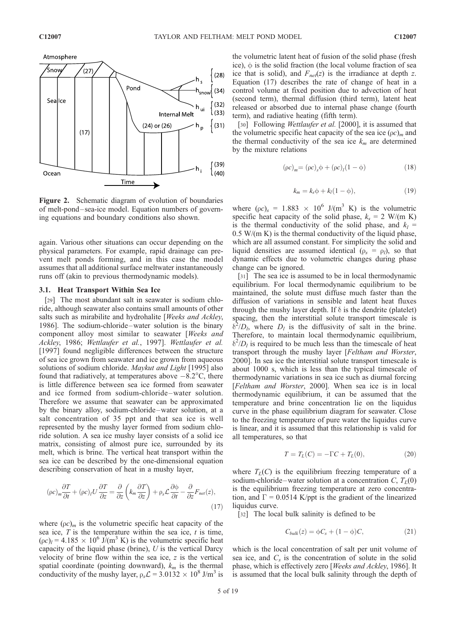

Figure 2. Schematic diagram of evolution of boundaries of melt-pond– sea-ice model. Equation numbers of governing equations and boundary conditions also shown.

again. Various other situations can occur depending on the physical parameters. For example, rapid drainage can prevent melt ponds forming, and in this case the model assumes that all additional surface meltwater instantaneously runs off (akin to previous thermodynamic models).

#### 3.1. Heat Transport Within Sea Ice

[29] The most abundant salt in seawater is sodium chloride, although seawater also contains small amounts of other salts such as mirabilite and hydrohalite [Weeks and Ackley, 1986]. The sodium-chloride –water solution is the binary component alloy most similar to seawater [Weeks and Ackley, 1986; Wettlaufer et al., 1997]. Wettlaufer et al. [1997] found negligible differences between the structure of sea ice grown from seawater and ice grown from aqueous solutions of sodium chloride. Maykut and Light [1995] also found that radiatively, at temperatures above  $-8.2^{\circ}$ C, there is little difference between sea ice formed from seawater and ice formed from sodium-chloride –water solution. Therefore we assume that seawater can be approximated by the binary alloy, sodium-chloride –water solution, at a salt concentration of 35 ppt and that sea ice is well represented by the mushy layer formed from sodium chloride solution. A sea ice mushy layer consists of a solid ice matrix, consisting of almost pure ice, surrounded by its melt, which is brine. The vertical heat transport within the sea ice can be described by the one-dimensional equation describing conservation of heat in a mushy layer,

$$
(\rho c)_m \frac{\partial T}{\partial t} + (\rho c)_l U \frac{\partial T}{\partial z} = \frac{\partial}{\partial z} \left( k_m \frac{\partial T}{\partial z} \right) + \rho_s \mathcal{L} \frac{\partial \phi}{\partial t} - \frac{\partial}{\partial z} F_{net}(z), \tag{17}
$$

where  $(\rho c)_m$  is the volumetric specific heat capacity of the sea ice,  $T$  is the temperature within the sea ice,  $t$  is time,  $(\rho c)_l = 4.185 \times 10^6$  J/(m<sup>3</sup> K) is the volumetric specific heat capacity of the liquid phase (brine),  $U$  is the vertical Darcy velocity of brine flow within the sea ice, z is the vertical spatial coordinate (pointing downward),  $k_m$  is the thermal conductivity of the mushy layer,  $\rho_s\mathcal{L} = 3.0132 \times 10^8$  J/m<sup>3</sup> is

the volumetric latent heat of fusion of the solid phase (fresh ice),  $\phi$  is the solid fraction (the local volume fraction of sea ice that is solid), and  $F_{net}(z)$  is the irradiance at depth z. Equation (17) describes the rate of change of heat in a control volume at fixed position due to advection of heat (second term), thermal diffusion (third term), latent heat released or absorbed due to internal phase change (fourth term), and radiative heating (fifth term).

[30] Following Wettlaufer et al. [2000], it is assumed that the volumetric specific heat capacity of the sea ice  $(\rho c)_m$  and the thermal conductivity of the sea ice  $k_m$  are determined by the mixture relations

$$
(\rho c)_m = (\rho c)_s \phi + (\rho c)_l (1 - \phi) \tag{18}
$$

$$
k_m = k_s \phi + k_l (1 - \phi), \qquad (19)
$$

where  $(\rho c)_s = 1.883 \times 10^6$  J/(m<sup>3</sup> K) is the volumetric specific heat capacity of the solid phase,  $k_s = 2$  W/(m K) is the thermal conductivity of the solid phase, and  $k_l$  =  $0.5 W/(m K)$  is the thermal conductivity of the liquid phase, which are all assumed constant. For simplicity the solid and liquid densities are assumed identical ( $\rho_s = \rho_l$ ), so that dynamic effects due to volumetric changes during phase change can be ignored.

[31] The sea ice is assumed to be in local thermodynamic equilibrium. For local thermodynamic equilibrium to be maintained, the solute must diffuse much faster than the diffusion of variations in sensible and latent heat fluxes through the mushy layer depth. If  $\delta$  is the dendrite (platelet) spacing, then the interstitial solute transport timescale is  $\delta^2/D_l$ , where  $D_l$  is the diffusivity of salt in the brine. Therefore, to maintain local thermodynamic equilibrium,  $\delta^2/D_l$  is required to be much less than the timescale of heat transport through the mushy layer [Feltham and Worster, 2000]. In sea ice the interstitial solute transport timescale is about 1000 s, which is less than the typical timescale of thermodynamic variations in sea ice such as diurnal forcing [Feltham and Worster, 2000]. When sea ice is in local thermodynamic equilibrium, it can be assumed that the temperature and brine concentration lie on the liquidus curve in the phase equilibrium diagram for seawater. Close to the freezing temperature of pure water the liquidus curve is linear, and it is assumed that this relationship is valid for all temperatures, so that

$$
T = T_L(C) = -\Gamma C + T_L(0), \tag{20}
$$

where  $T_L(C)$  is the equilibrium freezing temperature of a sodium-chloride-water solution at a concentration C,  $T_L(0)$ is the equilibrium freezing temperature at zero concentration, and  $\Gamma = 0.0514$  K/ppt is the gradient of the linearized liquidus curve.

[32] The local bulk salinity is defined to be

$$
C_{bulk}(z) = \phi C_s + (1 - \phi)C, \qquad (21)
$$

which is the local concentration of salt per unit volume of sea ice, and  $C_s$  is the concentration of solute in the solid phase, which is effectively zero [Weeks and Ackley, 1986]. It is assumed that the local bulk salinity through the depth of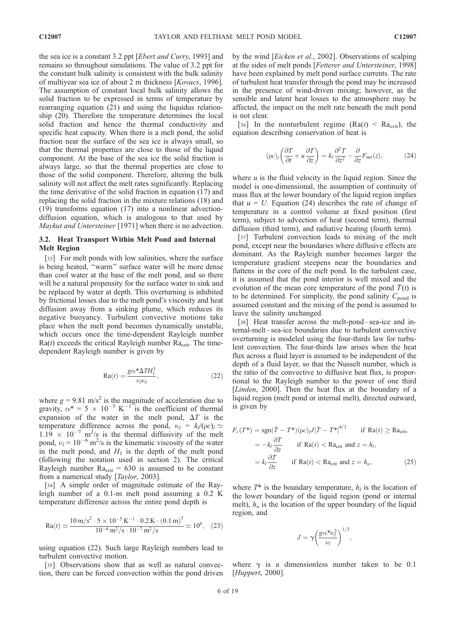the sea ice is a constant 3.2 ppt [Ebert and Curry, 1993] and remains so throughout simulations. The value of 3.2 ppt for the constant bulk salinity is consistent with the bulk salinity of multiyear sea ice of about 2 m thickness [Kovacs, 1996]. The assumption of constant local bulk salinity allows the solid fraction to be expressed in terms of temperature by rearranging equation (21) and using the liquidus relationship (20). Therefore the temperature determines the local solid fraction and hence the thermal conductivity and specific heat capacity. When there is a melt pond, the solid fraction near the surface of the sea ice is always small, so that the thermal properties are close to those of the liquid component. At the base of the sea ice the solid fraction is always large, so that the thermal properties are close to those of the solid component. Therefore, altering the bulk salinity will not affect the melt rates significantly. Replacing the time derivative of the solid fraction in equation (17) and replacing the solid fraction in the mixture relations (18) and (19) transforms equation (17) into a nonlinear advectiondiffusion equation, which is analogous to that used by Maykut and Untersteiner [1971] when there is no advection.

#### 3.2. Heat Transport Within Melt Pond and Internal Melt Region

[33] For melt ponds with low salinities, where the surface is being heated, ''warm'' surface water will be more dense than cool water at the base of the melt pond, and so there will be a natural propensity for the surface water to sink and be replaced by water at depth. This overturning is inhibited by frictional losses due to the melt pond's viscosity and heat diffusion away from a sinking plume, which reduces its negative buoyancy. Turbulent convective motions take place when the melt pond becomes dynamically unstable, which occurs once the time-dependent Rayleigh number  $Ra(t)$  exceeds the critical Rayleigh number  $Ra_{crit}$ . The timedependent Rayleigh number is given by

$$
Ra(t) = \frac{g\alpha^* \Delta T H_1^3}{\nu_l \kappa_l},\tag{22}
$$

where  $g = 9.81$  m/s<sup>2</sup> is the magnitude of acceleration due to gravity,  $\alpha^* = 5 \times 10^{-5} \text{ K}^{-1}$  is the coefficient of thermal expansion of the water in the melt pond,  $\Delta T$  is the temperature difference across the pond,  $\kappa_l = k_l/(\rho c)_l \simeq$  $1.19 \times 10^{-7}$  m<sup>2</sup>/s is the thermal diffusivity of the melt pond,  $v_l = 10^{-6}$  m<sup>2</sup>/s is the kinematic viscosity of the water in the melt pond, and  $H_1$  is the depth of the melt pond (following the notation used in section 2). The critical Rayleigh number  $Ra_{\text{crit}} = 630$  is assumed to be constant from a numerical study [Taylor, 2003].

[34] A simple order of magnitude estimate of the Rayleigh number of a 0.1-m melt pond assuming a 0.2 K temperature difference across the entire pond depth is

$$
Ra(t) \simeq \frac{10 \text{ m/s}^2 \cdot 5 \times 10^{-5} \text{ K}^{-1} \cdot 0.2 \text{ K} \cdot (0.1 \text{ m})^3}{10^{-6} \text{ m}^2/\text{s} \cdot 10^{-7} \text{ m}^2/\text{s}} \simeq 10^6, \quad (23)
$$

using equation (22). Such large Rayleigh numbers lead to turbulent convective motion.

[35] Observations show that as well as natural convection, there can be forced convection within the pond driven by the wind [Eicken et al., 2002]. Observations of scalping at the sides of melt ponds [Fetterer and Untersteiner, 1998] have been explained by melt pond surface currents. The rate of turbulent heat transfer through the pond may be increased in the presence of wind-driven mixing; however, as the sensible and latent heat losses to the atmosphere may be affected, the impact on the melt rate beneath the melt pond is not clear.

[36] In the nonturbulent regime ( $Ra(t) < Ra_{crit}$ ), the equation describing conservation of heat is

$$
(\rho c)_l \left(\frac{\partial T}{\partial t} + u \frac{\partial T}{\partial z}\right) = k_l \frac{\partial^2 T}{\partial z^2} - \frac{\partial}{\partial z} F_{\text{net}}(z),\tag{24}
$$

where  $u$  is the fluid velocity in the liquid region. Since the model is one-dimensional, the assumption of continuity of mass flux at the lower boundary of the liquid region implies that  $u = U$ . Equation (24) describes the rate of change of temperature in a control volume at fixed position (first term), subject to advection of heat (second term), thermal diffusion (third term), and radiative heating (fourth term).

[37] Turbulent convection leads to mixing of the melt pond, except near the boundaries where diffusive effects are dominant. As the Rayleigh number becomes larger the temperature gradient steepens near the boundaries and flattens in the core of the melt pond. In the turbulent case, it is assumed that the pond interior is well mixed and the evolution of the mean core temperature of the pond  $T(t)$  is to be determined. For simplicity, the pond salinity  $C_{\text{pond}}$  is assumed constant and the mixing of the pond is assumed to leave the salinity unchanged.

[38] Heat transfer across the melt-pond-sea-ice and internal-melt –sea-ice boundaries due to turbulent convective overturning is modeled using the four-thirds law for turbulent convection. The four-thirds law arises when the heat flux across a fluid layer is assumed to be independent of the depth of a fluid layer, so that the Nusselt number, which is the ratio of the convective to diffusive heat flux, is proportional to the Rayleigh number to the power of one third [*Linden*, 2000]. Then the heat flux at the boundary of a liquid region (melt pond or internal melt), directed outward, is given by

$$
F_c(T^*) = \operatorname{sgn}(\bar{T} - T^*)(\rho c)_t J |\bar{T} - T^*|^{4/3} \quad \text{if } \text{Ra}(t) \ge \text{Ra}_{\text{crit}},
$$
  
\n
$$
= -k_l \frac{\partial T}{\partial z} \quad \text{if } \text{Ra}(t) < \text{Ra}_{\text{crit}} \text{ and } z = h_l,
$$
  
\n
$$
= k_l \frac{\partial T}{\partial z} \quad \text{if } \text{Ra}(t) < \text{Ra}_{\text{crit}} \text{ and } z = h_u,
$$
 (25)

where  $T^*$  is the boundary temperature,  $h_l$  is the location of the lower boundary of the liquid region (pond or internal melt),  $h_u$  is the location of the upper boundary of the liquid region, and

$$
J = \gamma \left(\frac{g\alpha^* \kappa_l^2}{\nu_l}\right)^{1/3},
$$

where  $\gamma$  is a dimensionless number taken to be 0.1 [*Huppert,* 2000].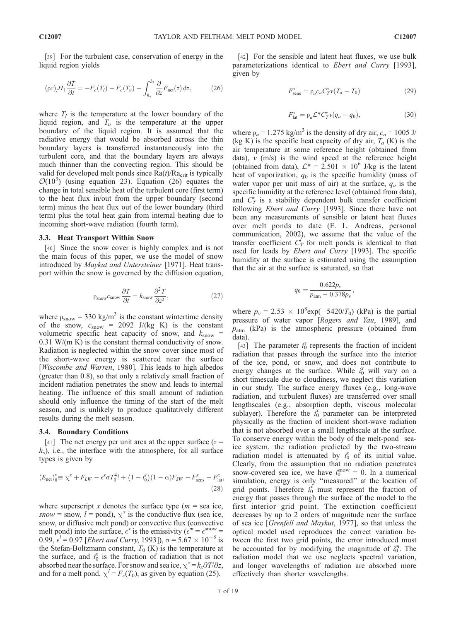[39] For the turbulent case, conservation of energy in the liquid region yields

$$
(\rho c)_l H_1 \frac{\partial \bar{T}}{\partial t} = -F_c(T_l) - F_c(T_u) - \int_{h_u}^{h_l} \frac{\partial}{\partial z} F_{\text{net}}(z) dz,
$$
 (26)

where  $T_l$  is the temperature at the lower boundary of the liquid region, and  $T_u$  is the temperature at the upper boundary of the liquid region. It is assumed that the radiative energy that would be absorbed across the thin boundary layers is transferred instantaneously into the turbulent core, and that the boundary layers are always much thinner than the convecting region. This should be valid for developed melt ponds since  $Ra(t)/Ra_{crit}$  is typically  $\mathcal{O}(10^3)$  (using equation 23). Equation (26) equates the change in total sensible heat of the turbulent core (first term) to the heat flux in/out from the upper boundary (second term) minus the heat flux out of the lower boundary (third term) plus the total heat gain from internal heating due to incoming short-wave radiation (fourth term).

#### 3.3. Heat Transport Within Snow

[40] Since the snow cover is highly complex and is not the main focus of this paper, we use the model of snow introduced by Maykut and Untersteiner [1971]. Heat transport within the snow is governed by the diffusion equation,

$$
\rho_{\text{snow}} c_{\text{snow}} \frac{\partial T}{\partial t} = k_{\text{snow}} \frac{\partial^2 T}{\partial z^2},\tag{27}
$$

where  $\rho_{\text{snow}} = 330 \text{ kg/m}^3$  is the constant wintertime density of the snow,  $c_{\text{snow}} = 2092$  J/(kg K) is the constant volumetric specific heat capacity of snow, and  $k_{\text{snow}} =$ 0.31 W/(m K) is the constant thermal conductivity of snow. Radiation is neglected within the snow cover since most of the short-wave energy is scattered near the surface [Wiscombe and Warren, 1980]. This leads to high albedos (greater than 0.8), so that only a relatively small fraction of incident radiation penetrates the snow and leads to internal heating. The influence of this small amount of radiation should only influence the timing of the start of the melt season, and is unlikely to produce qualitatively different results during the melt season.

#### 3.4. Boundary Conditions

[41] The net energy per unit area at the upper surface  $(z =$  $h<sub>s</sub>$ ), i.e., the interface with the atmosphere, for all surface types is given by

$$
(E_{\text{net}})^{x}_{0} \equiv \chi^{x} + F_{LW} - \epsilon^{x} \sigma T_{0}^{4}! + (1 - i_{0}^{x})(1 - \alpha)F_{SW} - F_{\text{sens}}^{x} - F_{\text{lat}}^{x},
$$
\n(28)

where superscript x denotes the surface type ( $m =$  sea ice, snow = snow,  $l =$  pond),  $\chi^x$  is the conductive flux (sea ice, snow, or diffusive melt pond) or convective flux (convective melt pond) into the surface,  $\epsilon^x$  is the emissivity  $(\epsilon^m = \epsilon^{\text{snow}} =$  $(0.99, \epsilon^l = 0.97$  [*Ebert and Curry*, 1993]),  $\sigma = 5.67 \times 10^{-8}$  is the Stefan-Boltzmann constant,  $T_0$  (K) is the temperature at the surface, and  $i_0^x$  is the fraction of radiation that is not absorbed near the surface. For snow and sea ice,  $\chi^x = k_x \partial T / \partial z$ , and for a melt pond,  $\chi^l = F_c(T_0)$ , as given by equation (25).

[42] For the sensible and latent heat fluxes, we use bulk parameterizations identical to *Ebert and Curry* [1993], given by

$$
F_{\text{sens}}^{\text{x}} = \rho_a c_a C_T^{\text{x}} \nu (T_a - T_0) \tag{29}
$$

$$
F_{\text{lat}}^{\text{x}} = \rho_a \mathcal{L}^* C_T^{\text{x}} \nu (q_a - q_0), \tag{30}
$$

where  $\rho_a = 1.275 \text{ kg/m}^3$  is the density of dry air,  $c_a = 1005 \text{ J/m}^3$ (kg K) is the specific heat capacity of dry air,  $T_a$  (K) is the air temperature at some reference height (obtained from data),  $v$  (m/s) is the wind speed at the reference height (obtained from data),  $\mathcal{L}^* = 2.501 \times 10^6$  J/kg is the latent heat of vaporization,  $q_0$  is the specific humidity (mass of water vapor per unit mass of air) at the surface,  $q_a$  is the specific humidity at the reference level (obtained from data), and  $C_T^x$  is a stability dependent bulk transfer coefficient following *Ebert and Curry* [1993]. Since there have not been any measurements of sensible or latent heat fluxes over melt ponds to date (E. L. Andreas, personal communication, 2002), we assume that the value of the transfer coefficient  $C_T^{\prime}$  for melt ponds is identical to that used for leads by Ebert and Curry [1993]. The specific humidity at the surface is estimated using the assumption that the air at the surface is saturated, so that

$$
q_0 = \frac{0.622p_v}{p_{\text{atm}} - 0.378p_v},
$$

where  $p_v = 2.53 \times 10^8 \exp(-5420/T_0)$  (kPa) is the partial pressure of water vapor [Rogers and Yau, 1989], and  $p_{\text{atm}}$  (kPa) is the atmospheric pressure (obtained from data).

[43] The parameter  $i_0^x$  represents the fraction of incident radiation that passes through the surface into the interior of the ice, pond, or snow, and does not contribute to energy changes at the surface. While  $i_0^x$  will vary on a short timescale due to cloudiness, we neglect this variation in our study. The surface energy fluxes (e.g., long-wave radiation, and turbulent fluxes) are transferred over small lengthscales (e.g., absorption depth, viscous molecular sublayer). Therefore the  $i_0^x$  parameter can be interpreted physically as the fraction of incident short-wave radiation that is not absorbed over a small lengthscale at the surface. To conserve energy within the body of the melt-pond – seaice system, the radiation predicted by the two-stream radiation model is attenuated by  $\vec{i}_0$  of its initial value. Clearly, from the assumption that no radiation penetrates snow-covered sea ice, we have  $i_0^{\text{snow}} = 0$ . In a numerical simulation, energy is only ''measured'' at the location of grid points. Therefore  $i_0^x$  must represent the fraction of energy that passes through the surface of the model to the first interior grid point. The extinction coefficient decreases by up to 2 orders of magnitude near the surface of sea ice [Grenfell and Maykut, 1977], so that unless the optical model used reproduces the correct variation between the first two grid points, the error introduced must be accounted for by modifying the magnitude of  $i_0^m$ . The radiation model that we use neglects spectral variation, and longer wavelengths of radiation are absorbed more effectively than shorter wavelengths.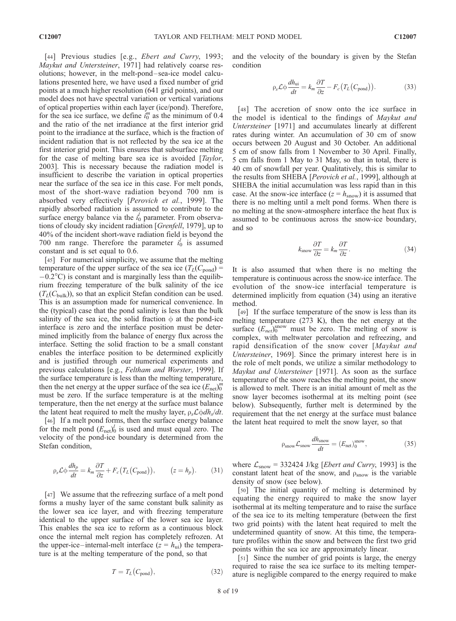[44] Previous studies [e.g., *Ebert and Curry*, 1993; Maykut and Untersteiner, 1971] had relatively coarse resolutions; however, in the melt-pond – sea-ice model calculations presented here, we have used a fixed number of grid points at a much higher resolution (641 grid points), and our model does not have spectral variation or vertical variations of optical properties within each layer (ice/pond). Therefore, for the sea ice surface, we define  $i_0^m$  as the minimum of 0.4 and the ratio of the net irradiance at the first interior grid point to the irradiance at the surface, which is the fraction of incident radiation that is not reflected by the sea ice at the first interior grid point. This ensures that subsurface melting for the case of melting bare sea ice is avoided [*Taylor*, 2003]. This is necessary because the radiation model is insufficient to describe the variation in optical properties near the surface of the sea ice in this case. For melt ponds, most of the short-wave radiation beyond 700 nm is absorbed very effectively [Perovich et al., 1999]. The rapidly absorbed radiation is assumed to contribute to the surface energy balance via the  $i_0^l$  parameter. From observations of cloudy sky incident radiation [Grenfell, 1979], up to 40% of the incident short-wave radiation field is beyond the 700 nm range. Therefore the parameter  $i_0^l$  is assumed constant and is set equal to 0.6.

[45] For numerical simplicity, we assume that the melting temperature of the upper surface of the sea ice  $(T_L(C_{\text{pond}})$  =  $-0.2^{\circ}$ C) is constant and is marginally less than the equilibrium freezing temperature of the bulk salinity of the ice  $(T_L(C_{\text{bulk}}))$ , so that an explicit Stefan condition can be used. This is an assumption made for numerical convenience. In the (typical) case that the pond salinity is less than the bulk salinity of the sea ice, the solid fraction  $\phi$  at the pond-ice interface is zero and the interface position must be determined implicitly from the balance of energy flux across the interface. Setting the solid fraction to be a small constant enables the interface position to be determined explicitly and is justified through our numerical experiments and previous calculations [e.g., Feltham and Worster, 1999]. If the surface temperature is less than the melting temperature, then the net energy at the upper surface of the sea ice  $(E_{\text{net}})_0^m$ must be zero. If the surface temperature is at the melting temperature, then the net energy at the surface must balance the latent heat required to melt the mushy layer,  $\rho_s \mathcal{L} \phi dh_s/dt$ .

[46] If a melt pond forms, then the surface energy balance for the melt pond  $(E_{\text{net}})_0^l$  is used and must equal zero. The velocity of the pond-ice boundary is determined from the Stefan condition,

$$
\rho_s \mathcal{L} \phi \frac{dh_p}{dt} = k_m \frac{\partial T}{\partial z} + F_c \big( T_L \big( C_{\text{pond}} \big) \big), \qquad \big( z = h_p \big). \tag{31}
$$

[47] We assume that the refreezing surface of a melt pond forms a mushy layer of the same constant bulk salinity as the lower sea ice layer, and with freezing temperature identical to the upper surface of the lower sea ice layer. This enables the sea ice to reform as a continuous block once the internal melt region has completely refrozen. At the upper-ice–internal-melt interface  $(z = h_{ui})$  the temperature is at the melting temperature of the pond, so that

$$
T = T_L(C_{\text{pond}}),\tag{32}
$$

and the velocity of the boundary is given by the Stefan condition

$$
\rho_s \mathcal{L} \phi \frac{dh_{\text{ui}}}{dt} = k_m \frac{\partial T}{\partial z} - F_c \left( T_L \left( C_{\text{pond}} \right) \right). \tag{33}
$$

[48] The accretion of snow onto the ice surface in the model is identical to the findings of Maykut and Untersteiner [1971] and accumulates linearly at different rates during winter. An accumulation of 30 cm of snow occurs between 20 August and 30 October. An additional 5 cm of snow falls from 1 November to 30 April. Finally, 5 cm falls from 1 May to 31 May, so that in total, there is 40 cm of snowfall per year. Qualitatively, this is similar to the results from SHEBA [Perovich et al., 1999], although at SHEBA the initial accumulation was less rapid than in this case. At the snow-ice interface ( $z = h<sub>snow</sub>$ ) it is assumed that there is no melting until a melt pond forms. When there is no melting at the snow-atmosphere interface the heat flux is assumed to be continuous across the snow-ice boundary, and so

$$
k_{\text{snow}} \frac{\partial T}{\partial z} = k_m \frac{\partial T}{\partial z}.
$$
 (34)

It is also assumed that when there is no melting the temperature is continuous across the snow-ice interface. The evolution of the snow-ice interfacial temperature is determined implicitly from equation (34) using an iterative method.

[49] If the surface temperature of the snow is less than its melting temperature (273 K), then the net energy at the surface  $(E_{net})_0^{\text{snow}}$  must be zero. The melting of snow is complex, with meltwater percolation and refreezing, and rapid densification of the snow cover [Maykut and Untersteiner, 1969]. Since the primary interest here is in the role of melt ponds, we utilize a similar methodology to Maykut and Untersteiner [1971]. As soon as the surface temperature of the snow reaches the melting point, the snow is allowed to melt. There is an initial amount of melt as the snow layer becomes isothermal at its melting point (see below). Subsequently, further melt is determined by the requirement that the net energy at the surface must balance the latent heat required to melt the snow layer, so that

$$
\rho_{\text{snow}} \mathcal{L}_{\text{snow}} \frac{dh_{\text{snow}}}{dt} = (E_{\text{net}})_{0}^{\text{snow}}, \tag{35}
$$

where  $\mathcal{L}_{\text{snow}} = 332424$  J/kg [*Ebert and Curry*, 1993] is the constant latent heat of the snow, and  $\rho_{\text{snow}}$  is the variable density of snow (see below).

[50] The initial quantity of melting is determined by equating the energy required to make the snow layer isothermal at its melting temperature and to raise the surface of the sea ice to its melting temperature (between the first two grid points) with the latent heat required to melt the undetermined quantity of snow. At this time, the temperature profiles within the snow and between the first two grid points within the sea ice are approximately linear.

[51] Since the number of grid points is large, the energy required to raise the sea ice surface to its melting temperature is negligible compared to the energy required to make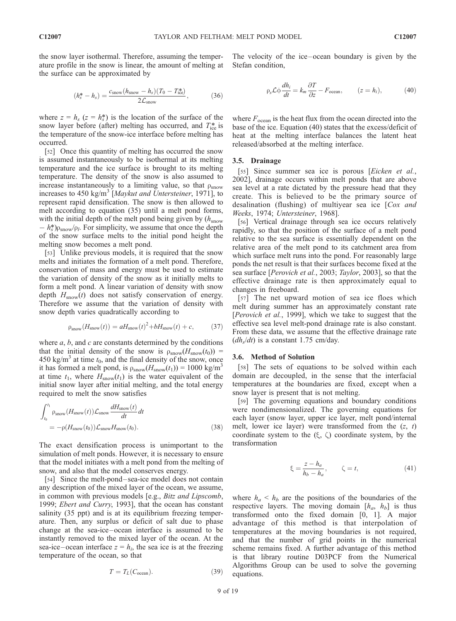$$
(h_s^* - h_s) = \frac{c_{\text{snow}}(h_{\text{snow}} - h_s)(T_0 - T_{\text{ice}}^*)}{2\mathcal{L}_{\text{snow}}},\tag{36}
$$

where  $z = h_s$  ( $z = h_s^*$ ) is the location of the surface of the snow layer before (after) melting has occurred, and  $T_{\text{ice}}^*$  is the temperature of the snow-ice interface before melting has occurred.

the surface can be approximated by

[52] Once this quantity of melting has occurred the snow is assumed instantaneously to be isothermal at its melting temperature and the ice surface is brought to its melting temperature. The density of the snow is also assumed to increase instantaneously to a limiting value, so that  $\rho_{\rm snow}$ increases to  $450 \text{ kg/m}^3$  [*Maykut and Untersteiner*, 1971], to represent rapid densification. The snow is then allowed to melt according to equation (35) until a melt pond forms, with the initial depth of the melt pond being given by  $(h_{\text{snow}})$  $-h_s^*$ ) $\rho_{\text{snow}}/\rho_l$ . For simplicity, we assume that once the depth of the snow surface melts to the initial pond height the melting snow becomes a melt pond.

[53] Unlike previous models, it is required that the snow melts and initiates the formation of a melt pond. Therefore, conservation of mass and energy must be used to estimate the variation of density of the snow as it initially melts to form a melt pond. A linear variation of density with snow depth  $H_{\text{snow}}(t)$  does not satisfy conservation of energy. Therefore we assume that the variation of density with snow depth varies quadratically according to

$$
\rho_{\text{snow}}(H_{\text{snow}}(t)) = aH_{\text{snow}}(t)^2 + bH_{\text{snow}}(t) + c,\tag{37}
$$

where  $a, b$ , and  $c$  are constants determined by the conditions that the initial density of the snow is  $\rho_{\text{snow}}(H_{\text{snow}}(t_0))$  = 450 kg/m<sup>3</sup> at time  $t_0$ , and the final density of the snow, once it has formed a melt pond, is  $\rho_{\text{snow}}(H_{\text{snow}}(t_1)) = 1000 \text{ kg/m}^3$ at time  $t_1$ , where  $H_{\text{snow}}(t_1)$  is the water equivalent of the initial snow layer after initial melting, and the total energy required to melt the snow satisfies

$$
\int_{t_0}^{t_1} \rho_{\text{snow}}(H_{\text{snow}}(t)) \mathcal{L}_{\text{snow}} \frac{dH_{\text{snow}}(t)}{dt} dt
$$
\n
$$
= -\rho(H_{\text{snow}}(t_0)) \mathcal{L}_{\text{snow}} H_{\text{snow}}(t_0).
$$
\n(38)

The exact densification process is unimportant to the simulation of melt ponds. However, it is necessary to ensure that the model initiates with a melt pond from the melting of snow, and also that the model conserves energy.

[54] Since the melt-pond-sea-ice model does not contain any description of the mixed layer of the ocean, we assume, in common with previous models [e.g., Bitz and Lipscomb, 1999; Ebert and Curry, 1993], that the ocean has constant salinity (35 ppt) and is at its equilibrium freezing temperature. Then, any surplus or deficit of salt due to phase change at the sea-ice –ocean interface is assumed to be instantly removed to the mixed layer of the ocean. At the sea-ice-ocean interface  $z = h_i$ , the sea ice is at the freezing temperature of the ocean, so that

$$
T = T_L(C_{\text{ocean}}). \tag{39}
$$

The velocity of the ice – ocean boundary is given by the Stefan condition,

$$
\rho_s \mathcal{L} \phi \frac{dh_i}{dt} = k_m \frac{\partial T}{\partial z} - F_{\text{ocean}}, \qquad (z = h_i), \tag{40}
$$

where  $F_{\text{ocean}}$  is the heat flux from the ocean directed into the base of the ice. Equation (40) states that the excess/deficit of heat at the melting interface balances the latent heat released/absorbed at the melting interface.

#### 3.5. Drainage

[55] Since summer sea ice is porous [*Eicken et al.*, 2002], drainage occurs within melt ponds that are above sea level at a rate dictated by the pressure head that they create. This is believed to be the primary source of desalination (flushing) of multiyear sea ice [Cox and Weeks, 1974; Untersteiner, 1968].

[56] Vertical drainage through sea ice occurs relatively rapidly, so that the position of the surface of a melt pond relative to the sea surface is essentially dependent on the relative area of the melt pond to its catchment area from which surface melt runs into the pond. For reasonably large ponds the net result is that their surfaces become fixed at the sea surface [Perovich et al., 2003; Taylor, 2003], so that the effective drainage rate is then approximately equal to changes in freeboard.

[57] The net upward motion of sea ice floes which melt during summer has an approximately constant rate [Perovich et al., 1999], which we take to suggest that the effective sea level melt-pond drainage rate is also constant. From these data, we assume that the effective drainage rate  $(dh<sub>s</sub>/dt)$  is a constant 1.75 cm/day.

#### 3.6. Method of Solution

[58] The sets of equations to be solved within each domain are decoupled, in the sense that the interfacial temperatures at the boundaries are fixed, except when a snow layer is present that is not melting.

[59] The governing equations and boundary conditions were nondimensionalized. The governing equations for each layer (snow layer, upper ice layer, melt pond/internal melt, lower ice layer) were transformed from the  $(z, t)$ coordinate system to the  $(\xi, \zeta)$  coordinate system, by the transformation

$$
\xi = \frac{z - h_a}{h_b - h_a}, \qquad \zeta = t,\tag{41}
$$

where  $h_a < h_b$  are the positions of the boundaries of the respective layers. The moving domain  $[h_a, h_b]$  is thus transformed onto the fixed domain [0, 1]. A major advantage of this method is that interpolation of temperatures at the moving boundaries is not required, and that the number of grid points in the numerical scheme remains fixed. A further advantage of this method is that library routine D03PCF from the Numerical Algorithms Group can be used to solve the governing equations.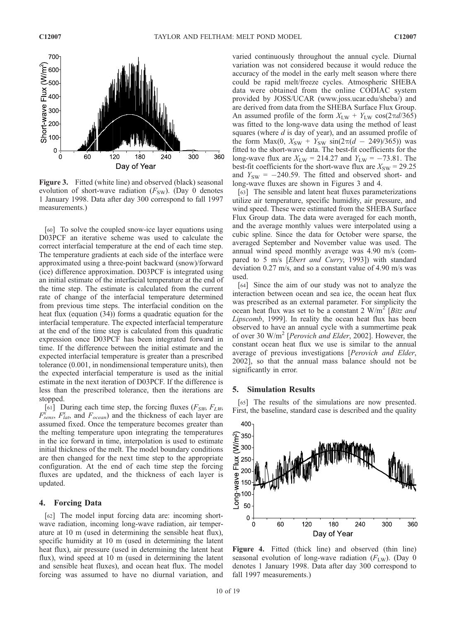

Figure 3. Fitted (white line) and observed (black) seasonal evolution of short-wave radiation  $(F_{SW})$ . (Day 0 denotes 1 January 1998. Data after day 300 correspond to fall 1997 measurements.)

[60] To solve the coupled snow-ice layer equations using D03PCF an iterative scheme was used to calculate the correct interfacial temperature at the end of each time step. The temperature gradients at each side of the interface were approximated using a three-point backward (snow)/forward (ice) difference approximation. D03PCF is integrated using an initial estimate of the interfacial temperature at the end of the time step. The estimate is calculated from the current rate of change of the interfacial temperature determined from previous time steps. The interfacial condition on the heat flux (equation (34)) forms a quadratic equation for the interfacial temperature. The expected interfacial temperature at the end of the time step is calculated from this quadratic expression once D03PCF has been integrated forward in time. If the difference between the initial estimate and the expected interfacial temperature is greater than a prescribed tolerance (0.001, in nondimensional temperature units), then the expected interfacial temperature is used as the initial estimate in the next iteration of D03PCF. If the difference is less than the prescribed tolerance, then the iterations are stopped.

[61] During each time step, the forcing fluxes ( $F_{SW}$ ,  $F_{LW}$ ,  $F_{sens}^{\dot{x}}$ ,  $F_{lat}^{x}$ , and  $F_{ocean}$ ) and the thickness of each layer are assumed fixed. Once the temperature becomes greater than the melting temperature upon integrating the temperatures in the ice forward in time, interpolation is used to estimate initial thickness of the melt. The model boundary conditions are then changed for the next time step to the appropriate configuration. At the end of each time step the forcing fluxes are updated, and the thickness of each layer is updated.

#### 4. Forcing Data

[62] The model input forcing data are: incoming shortwave radiation, incoming long-wave radiation, air temperature at 10 m (used in determining the sensible heat flux), specific humidity at 10 m (used in determining the latent heat flux), air pressure (used in determining the latent heat flux), wind speed at 10 m (used in determining the latent and sensible heat fluxes), and ocean heat flux. The model forcing was assumed to have no diurnal variation, and

varied continuously throughout the annual cycle. Diurnal variation was not considered because it would reduce the accuracy of the model in the early melt season where there could be rapid melt/freeze cycles. Atmospheric SHEBA data were obtained from the online CODIAC system provided by JOSS/UCAR (www.joss.ucar.edu/sheba/) and are derived from data from the SHEBA Surface Flux Group. An assumed profile of the form  $X_{\text{LW}} + Y_{\text{LW}} \cos(2\pi d/365)$ was fitted to the long-wave data using the method of least squares (where  $d$  is day of year), and an assumed profile of the form Max(0,  $X_{SW} + Y_{SW} \sin(2\pi(d - 249)/365)$ ) was fitted to the short-wave data. The best-fit coefficients for the long-wave flux are  $X_{\text{LW}} = 214.27$  and  $Y_{\text{LW}} = -73.81$ . The best-fit coefficients for the short-wave flux are  $X_{SW} = 29.25$ and  $Y_{SW} = -240.59$ . The fitted and observed short- and long-wave fluxes are shown in Figures 3 and 4.

[63] The sensible and latent heat fluxes parameterizations utilize air temperature, specific humidity, air pressure, and wind speed. These were estimated from the SHEBA Surface Flux Group data. The data were averaged for each month, and the average monthly values were interpolated using a cubic spline. Since the data for October were sparse, the averaged September and November value was used. The annual wind speed monthly average was 4.90 m/s (compared to 5 m/s [Ebert and Curry, 1993]) with standard deviation 0.27 m/s, and so a constant value of 4.90 m/s was used.

[64] Since the aim of our study was not to analyze the interaction between ocean and sea ice, the ocean heat flux was prescribed as an external parameter. For simplicity the ocean heat flux was set to be a constant  $2 \text{ W/m}^2$  [Bitz and Lipscomb, 1999]. In reality the ocean heat flux has been observed to have an annual cycle with a summertime peak of over 30  $W/m^2$  [*Perovich and Elder*, 2002]. However, the constant ocean heat flux we use is similar to the annual average of previous investigations [Perovich and Elder, 2002], so that the annual mass balance should not be significantly in error.

#### 5. Simulation Results

[65] The results of the simulations are now presented. First, the baseline, standard case is described and the quality



Figure 4. Fitted (thick line) and observed (thin line) seasonal evolution of long-wave radiation ( $F_{\text{LW}}$ ). (Day 0 denotes 1 January 1998. Data after day 300 correspond to fall 1997 measurements.)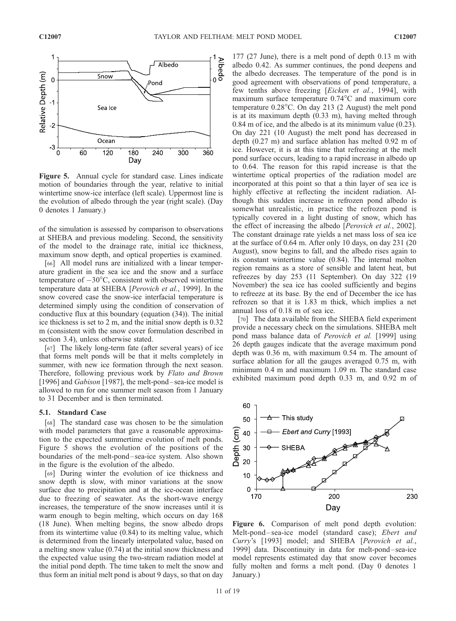

Figure 5. Annual cycle for standard case. Lines indicate motion of boundaries through the year, relative to initial wintertime snow-ice interface (left scale). Uppermost line is the evolution of albedo through the year (right scale). (Day 0 denotes 1 January.)

of the simulation is assessed by comparison to observations at SHEBA and previous modeling. Second, the sensitivity of the model to the drainage rate, initial ice thickness, maximum snow depth, and optical properties is examined.

[66] All model runs are initialized with a linear temperature gradient in the sea ice and the snow and a surface temperature of  $-30^{\circ}$ C, consistent with observed wintertime temperature data at SHEBA [Perovich et al., 1999]. In the snow covered case the snow-ice interfacial temperature is determined simply using the condition of conservation of conductive flux at this boundary (equation (34)). The initial ice thickness is set to 2 m, and the initial snow depth is 0.32 m (consistent with the snow cover formulation described in section 3.4), unless otherwise stated.

[67] The likely long-term fate (after several years) of ice that forms melt ponds will be that it melts completely in summer, with new ice formation through the next season. Therefore, following previous work by Flato and Brown [1996] and *Gabison* [1987], the melt-pond-sea-ice model is allowed to run for one summer melt season from 1 January to 31 December and is then terminated.

#### 5.1. Standard Case

[68] The standard case was chosen to be the simulation with model parameters that gave a reasonable approximation to the expected summertime evolution of melt ponds. Figure 5 shows the evolution of the positions of the boundaries of the melt-pond – sea-ice system. Also shown in the figure is the evolution of the albedo.

[69] During winter the evolution of ice thickness and snow depth is slow, with minor variations at the snow surface due to precipitation and at the ice-ocean interface due to freezing of seawater. As the short-wave energy increases, the temperature of the snow increases until it is warm enough to begin melting, which occurs on day 168 (18 June). When melting begins, the snow albedo drops from its wintertime value (0.84) to its melting value, which is determined from the linearly interpolated value, based on a melting snow value (0.74) at the initial snow thickness and the expected value using the two-stream radiation model at the initial pond depth. The time taken to melt the snow and thus form an initial melt pond is about 9 days, so that on day

177 (27 June), there is a melt pond of depth 0.13 m with albedo 0.42. As summer continues, the pond deepens and the albedo decreases. The temperature of the pond is in good agreement with observations of pond temperature, a few tenths above freezing [Eicken et al., 1994], with maximum surface temperature  $0.74^{\circ}$ C and maximum core temperature  $0.28^{\circ}$ C. On day 213 (2 August) the melt pond is at its maximum depth (0.33 m), having melted through 0.84 m of ice, and the albedo is at its minimum value (0.23). On day 221 (10 August) the melt pond has decreased in depth (0.27 m) and surface ablation has melted 0.92 m of ice. However, it is at this time that refreezing at the melt pond surface occurs, leading to a rapid increase in albedo up to 0.64. The reason for this rapid increase is that the wintertime optical properties of the radiation model are incorporated at this point so that a thin layer of sea ice is highly effective at reflecting the incident radiation. Although this sudden increase in refrozen pond albedo is somewhat unrealistic, in practice the refrozen pond is typically covered in a light dusting of snow, which has the effect of increasing the albedo [Perovich et al., 2002]. The constant drainage rate yields a net mass loss of sea ice at the surface of 0.64 m. After only 10 days, on day 231 (20 August), snow begins to fall, and the albedo rises again to its constant wintertime value (0.84). The internal molten region remains as a store of sensible and latent heat, but refreezes by day 253 (11 September). On day 322 (19 November) the sea ice has cooled sufficiently and begins to refreeze at its base. By the end of December the ice has refrozen so that it is 1.83 m thick, which implies a net annual loss of 0.18 m of sea ice.

[70] The data available from the SHEBA field experiment provide a necessary check on the simulations. SHEBA melt pond mass balance data of Perovich et al. [1999] using 26 depth gauges indicate that the average maximum pond depth was 0.36 m, with maximum 0.54 m. The amount of surface ablation for all the gauges averaged 0.75 m, with minimum 0.4 m and maximum 1.09 m. The standard case exhibited maximum pond depth 0.33 m, and 0.92 m of



Figure 6. Comparison of melt pond depth evolution: Melt-pond– sea-ice model (standard case); Ebert and Curry's [1993] model; and SHEBA [Perovich et al., 1999] data. Discontinuity in data for melt-pond – sea-ice model represents estimated day that snow cover becomes fully molten and forms a melt pond. (Day 0 denotes 1 January.)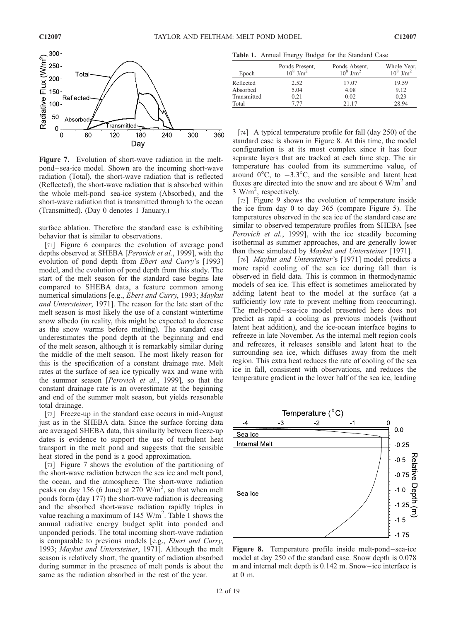

Figure 7. Evolution of short-wave radiation in the meltpond – sea-ice model. Shown are the incoming short-wave radiation (Total), the short-wave radiation that is reflected (Reflected), the short-wave radiation that is absorbed within the whole melt-pond – sea-ice system (Absorbed), and the short-wave radiation that is transmitted through to the ocean (Transmitted). (Day 0 denotes 1 January.)

surface ablation. Therefore the standard case is exhibiting behavior that is similar to observations.

[71] Figure 6 compares the evolution of average pond depths observed at SHEBA [Perovich et al., 1999], with the evolution of pond depth from Ebert and Curry's [1993] model, and the evolution of pond depth from this study. The start of the melt season for the standard case begins late compared to SHEBA data, a feature common among numerical simulations [e.g., *Ebert and Curry*, 1993; *Maykut* and Untersteiner, 1971]. The reason for the late start of the melt season is most likely the use of a constant wintertime snow albedo (in reality, this might be expected to decrease as the snow warms before melting). The standard case underestimates the pond depth at the beginning and end of the melt season, although it is remarkably similar during the middle of the melt season. The most likely reason for this is the specification of a constant drainage rate. Melt rates at the surface of sea ice typically wax and wane with the summer season [Perovich et al., 1999], so that the constant drainage rate is an overestimate at the beginning and end of the summer melt season, but yields reasonable total drainage.

[72] Freeze-up in the standard case occurs in mid-August just as in the SHEBA data. Since the surface forcing data are averaged SHEBA data, this similarity between freeze-up dates is evidence to support the use of turbulent heat transport in the melt pond and suggests that the sensible heat stored in the pond is a good approximation.

[73] Figure 7 shows the evolution of the partitioning of the short-wave radiation between the sea ice and melt pond, the ocean, and the atmosphere. The short-wave radiation peaks on day 156 (6 June) at 270  $W/m^2$ , so that when melt ponds form (day 177) the short-wave radiation is decreasing and the absorbed short-wave radiation rapidly triples in value reaching a maximum of 145 W/m<sup>2</sup>. Table 1 shows the annual radiative energy budget split into ponded and unponded periods. The total incoming short-wave radiation is comparable to previous models [e.g., Ebert and Curry, 1993; Maykut and Untersteiner, 1971]. Although the melt season is relatively short, the quantity of radiation absorbed during summer in the presence of melt ponds is about the same as the radiation absorbed in the rest of the year.

Table 1. Annual Energy Budget for the Standard Case

| Epoch       | Ponds Present,<br>$10^8$ J/m <sup>2</sup> | Ponds Absent,<br>$10^8$ J/m <sup>2</sup> | Whole Year,<br>$10^8$ J/m <sup>2</sup> |
|-------------|-------------------------------------------|------------------------------------------|----------------------------------------|
| Reflected   | 2.52                                      | 17.07                                    | 19.59                                  |
| Absorbed    | 5.04                                      | 4.08                                     | 9.12                                   |
| Transmitted | 0.21                                      | 0.02                                     | 0.23                                   |
| Total       | 7 77                                      | 21 17                                    | 28.94                                  |

[74] A typical temperature profile for fall (day 250) of the standard case is shown in Figure 8. At this time, the model configuration is at its most complex since it has four separate layers that are tracked at each time step. The air temperature has cooled from its summertime value, of around  $0^{\circ}$ C, to  $-3.3^{\circ}$ C, and the sensible and latent heat fluxes are directed into the snow and are about 6  $W/m<sup>2</sup>$  and 3 W/m<sup>2</sup>, respectively.

[75] Figure 9 shows the evolution of temperature inside the ice from day 0 to day 365 (compare Figure 5). The temperatures observed in the sea ice of the standard case are similar to observed temperature profiles from SHEBA [see Perovich et al., 1999], with the ice steadily becoming isothermal as summer approaches, and are generally lower than those simulated by Maykut and Untersteiner [1971].

[76] Maykut and Untersteiner's [1971] model predicts a more rapid cooling of the sea ice during fall than is observed in field data. This is common in thermodynamic models of sea ice. This effect is sometimes ameliorated by adding latent heat to the model at the surface (at a sufficiently low rate to prevent melting from reoccurring). The melt-pond-sea-ice model presented here does not predict as rapid a cooling as previous models (without latent heat addition), and the ice-ocean interface begins to refreeze in late November. As the internal melt region cools and refreezes, it releases sensible and latent heat to the surrounding sea ice, which diffuses away from the melt region. This extra heat reduces the rate of cooling of the sea ice in fall, consistent with observations, and reduces the temperature gradient in the lower half of the sea ice, leading



Figure 8. Temperature profile inside melt-pond-sea-ice model at day 250 of the standard case. Snow depth is 0.078 m and internal melt depth is 0.142 m. Snow–ice interface is at 0 m.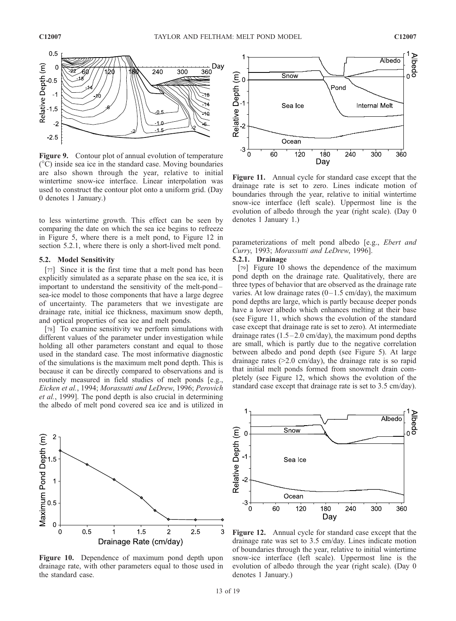

Figure 9. Contour plot of annual evolution of temperature  $({}^{\circ}C)$  inside sea ice in the standard case. Moving boundaries are also shown through the year, relative to initial wintertime snow-ice interface. Linear interpolation was used to construct the contour plot onto a uniform grid. (Day 0 denotes 1 January.)

to less wintertime growth. This effect can be seen by comparing the date on which the sea ice begins to refreeze in Figure 5, where there is a melt pond, to Figure 12 in section 5.2.1, where there is only a short-lived melt pond.

#### 5.2. Model Sensitivity

[77] Since it is the first time that a melt pond has been explicitly simulated as a separate phase on the sea ice, it is important to understand the sensitivity of the melt-pond – sea-ice model to those components that have a large degree of uncertainty. The parameters that we investigate are drainage rate, initial ice thickness, maximum snow depth, and optical properties of sea ice and melt ponds.

[78] To examine sensitivity we perform simulations with different values of the parameter under investigation while holding all other parameters constant and equal to those used in the standard case. The most informative diagnostic of the simulations is the maximum melt pond depth. This is because it can be directly compared to observations and is routinely measured in field studies of melt ponds [e.g., Eicken et al., 1994; Morassutti and LeDrew, 1996; Perovich et al., 1999]. The pond depth is also crucial in determining the albedo of melt pond covered sea ice and is utilized in



Figure 10. Dependence of maximum pond depth upon drainage rate, with other parameters equal to those used in the standard case.



Figure 11. Annual cycle for standard case except that the drainage rate is set to zero. Lines indicate motion of boundaries through the year, relative to initial wintertime snow-ice interface (left scale). Uppermost line is the evolution of albedo through the year (right scale). (Day 0 denotes 1 January 1.)

parameterizations of melt pond albedo [e.g., Ebert and Curry, 1993; Morassutti and LeDrew, 1996].

#### 5.2.1. Drainage

[79] Figure 10 shows the dependence of the maximum pond depth on the drainage rate. Qualitatively, there are three types of behavior that are observed as the drainage rate varies. At low drainage rates  $(0-1.5 \text{ cm/day})$ , the maximum pond depths are large, which is partly because deeper ponds have a lower albedo which enhances melting at their base (see Figure 11, which shows the evolution of the standard case except that drainage rate is set to zero). At intermediate drainage rates  $(1.5-2.0 \text{ cm/day})$ , the maximum pond depths are small, which is partly due to the negative correlation between albedo and pond depth (see Figure 5). At large drainage rates (>2.0 cm/day), the drainage rate is so rapid that initial melt ponds formed from snowmelt drain completely (see Figure 12, which shows the evolution of the standard case except that drainage rate is set to 3.5 cm/day).



Figure 12. Annual cycle for standard case except that the drainage rate was set to 3.5 cm/day. Lines indicate motion of boundaries through the year, relative to initial wintertime snow-ice interface (left scale). Uppermost line is the evolution of albedo through the year (right scale). (Day 0 denotes 1 January.)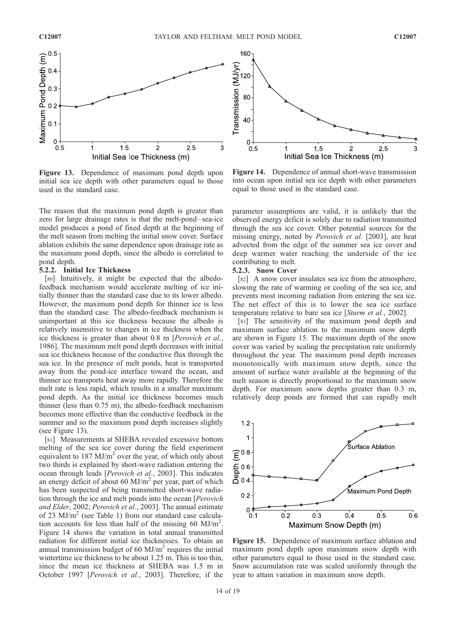

Figure 13. Dependence of maximum pond depth upon initial sea ice depth with other parameters equal to those used in the standard case.

The reason that the maximum pond depth is greater than zero for large drainage rates is that the melt-pond– sea-ice model produces a pond of fixed depth at the beginning of the melt season from melting the initial snow cover. Surface ablation exhibits the same dependence upon drainage rate as the maximum pond depth, since the albedo is correlated to pond depth.

#### 5.2.2. Initial Ice Thickness

[80] Intuitively, it might be expected that the albedofeedback mechanism would accelerate melting of ice initially thinner than the standard case due to its lower albedo. However, the maximum pond depth for thinner ice is less than the standard case. The albedo-feedback mechanism is unimportant at this ice thickness because the albedo is relatively insensitive to changes in ice thickness when the ice thickness is greater than about 0.8 m [Perovich et al., 1986]. The maximum melt pond depth decreases with initial sea ice thickness because of the conductive flux through the sea ice. In the presence of melt ponds, heat is transported away from the pond-ice interface toward the ocean, and thinner ice transports heat away more rapidly. Therefore the melt rate is less rapid, which results in a smaller maximum pond depth. As the initial ice thickness becomes much thinner (less than 0.75 m), the albedo-feedback mechanism becomes more effective than the conductive feedback in the summer and so the maximum pond depth increases slightly (see Figure 13).

[81] Measurements at SHEBA revealed excessive bottom melting of the sea ice cover during the field experiment equivalent to  $187 \text{ MJ/m}^2$  over the year, of which only about two thirds is explained by short-wave radiation entering the ocean through leads [Perovich et al., 2003]. This indicates an energy deficit of about 60 MJ/ $m<sup>2</sup>$  per year, part of which has been suspected of being transmitted short-wave radiation through the ice and melt ponds into the ocean [Perovich and Elder, 2002; Perovich et al., 2003]. The annual estimate of 23  $MJ/m<sup>2</sup>$  (see Table 1) from our standard case calculation accounts for less than half of the missing 60  $MJ/m<sup>2</sup>$ . Figure 14 shows the variation in total annual transmitted radiation for different initial ice thicknesses. To obtain an annual transmission budget of 60  $MJ/m<sup>2</sup>$  requires the initial wintertime ice thickness to be about 1.25 m. This is too thin, since the mean ice thickness at SHEBA was 1.5 m in October 1997 [Perovich et al., 2003]. Therefore, if the



Figure 14. Dependence of annual short-wave transmission into ocean upon initial sea ice depth with other parameters equal to those used in the standard case.

parameter assumptions are valid, it is unlikely that the observed energy deficit is solely due to radiation transmitted through the sea ice cover. Other potential sources for the missing energy, noted by *Perovich et al.* [2003], are heat advected from the edge of the summer sea ice cover and deep warmer water reaching the underside of the ice contributing to melt.

#### 5.2.3. Snow Cover

[82] A snow cover insulates sea ice from the atmosphere, slowing the rate of warming or cooling of the sea ice, and prevents most incoming radiation from entering the sea ice. The net effect of this is to lower the sea ice surface temperature relative to bare sea ice [Sturm et al., 2002].

[83] The sensitivity of the maximum pond depth and maximum surface ablation to the maximum snow depth are shown in Figure 15. The maximum depth of the snow cover was varied by scaling the precipitation rate uniformly throughout the year. The maximum pond depth increases monotonically with maximum snow depth, since the amount of surface water available at the beginning of the melt season is directly proportional to the maximum snow depth. For maximum snow depths greater than 0.3 m, relatively deep ponds are formed that can rapidly melt



Figure 15. Dependence of maximum surface ablation and maximum pond depth upon maximum snow depth with other parameters equal to those used in the standard case. Snow accumulation rate was scaled uniformly through the year to attain variation in maximum snow depth.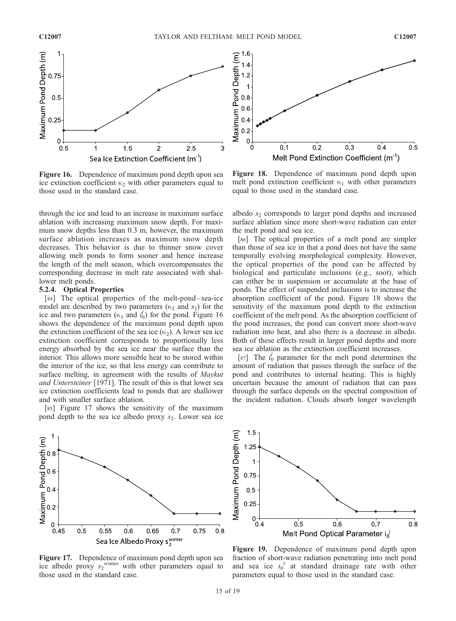

Figure 16. Dependence of maximum pond depth upon sea ice extinction coefficient  $\kappa_2$  with other parameters equal to those used in the standard case.

through the ice and lead to an increase in maximum surface ablation with increasing maximum snow depth. For maximum snow depths less than 0.3 m, however, the maximum surface ablation increases as maximum snow depth decreases. This behavior is due to thinner snow cover allowing melt ponds to form sooner and hence increase the length of the melt season, which overcompensates the corresponding decrease in melt rate associated with shallower melt ponds.

#### 5.2.4. Optical Properties

[84] The optical properties of the melt-pond–sea-ice model are described by two parameters ( $\kappa_2$  and  $s_2$ ) for the ice and two parameters ( $\kappa_1$  and  $i_0$ ) for the pond. Figure 16 shows the dependence of the maximum pond depth upon the extinction coefficient of the sea ice  $(\kappa_2)$ . A lower sea ice extinction coefficient corresponds to proportionally less energy absorbed by the sea ice near the surface than the interior. This allows more sensible heat to be stored within the interior of the ice, so that less energy can contribute to surface melting, in agreement with the results of *Maykut* and Untersteiner [1971]. The result of this is that lower sea ice extinction coefficients lead to ponds that are shallower and with smaller surface ablation.

[85] Figure 17 shows the sensitivity of the maximum pond depth to the sea ice albedo proxy  $s_2$ . Lower sea ice



Figure 17. Dependence of maximum pond depth upon sea ice albedo proxy  $s_2$ <sup>winter</sup> with other parameters equal to those used in the standard case.



Figure 18. Dependence of maximum pond depth upon melt pond extinction coefficient  $\kappa_1$  with other parameters equal to those used in the standard case.

albedo  $s<sub>2</sub>$  corresponds to larger pond depths and increased surface ablation since more short-wave radiation can enter the melt pond and sea ice.

[86] The optical properties of a melt pond are simpler than those of sea ice in that a pond does not have the same temporally evolving morphological complexity. However, the optical properties of the pond can be affected by biological and particulate inclusions (e.g., soot), which can either be in suspension or accumulate at the base of ponds. The effect of suspended inclusions is to increase the absorption coefficient of the pond. Figure 18 shows the sensitivity of the maximum pond depth to the extinction coefficient of the melt pond. As the absorption coefficient of the pond increases, the pond can convert more short-wave radiation into heat, and also there is a decrease in albedo. Both of these effects result in larger pond depths and more sea ice ablation as the extinction coefficient increases.

[87] The  $i_0^l$  parameter for the melt pond determines the amount of radiation that passes through the surface of the pond and contributes to internal heating. This is highly uncertain because the amount of radiation that can pass through the surface depends on the spectral composition of the incident radiation. Clouds absorb longer wavelength



Figure 19. Dependence of maximum pond depth upon fraction of short-wave radiation penetrating into melt pond and sea ice  $i_0^l$  at standard drainage rate with other parameters equal to those used in the standard case.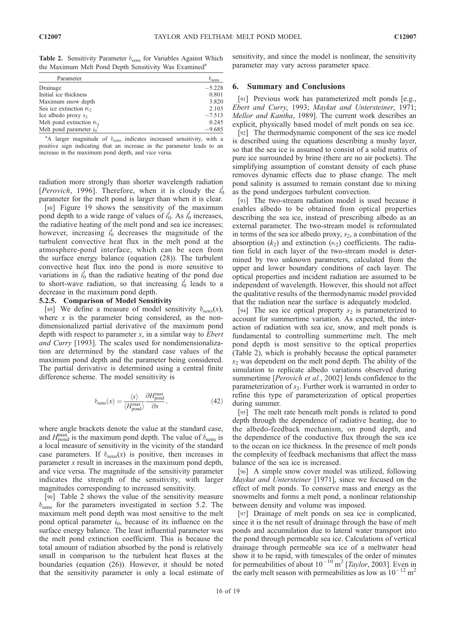Table 2. Sensitivity Parameter  $\delta_{\text{sens}}$  for Variables Against Which the Maximum Melt Pond Depth Sensitivity Was Examined<sup>a</sup>

| Parameter                       | $\sigma_{\text{sens}}$ |
|---------------------------------|------------------------|
| Drainage                        | $-5.228$               |
| Initial ice thickness           | 0.801                  |
| Maximum snow depth              | 3.820                  |
| Sea ice extinction $\kappa_2$   | 2.103                  |
| Ice albedo proxy $s_2$          | $-7.513$               |
| Melt pond extinction $\kappa_1$ | 0.245                  |
| Melt pond parameter $i_0^{\ d}$ | $-9.685$               |

<sup>a</sup>A larger magnitude of  $\delta_{\text{sens}}$  indicates increased sensitivity, with a positive sign indicating that an increase in the parameter leads to an increase in the maximum pond depth, and vice versa.

radiation more strongly than shorter wavelength radiation [Perovich, 1996]. Therefore, when it is cloudy the  $i_0^l$ parameter for the melt pond is larger than when it is clear.

[88] Figure 19 shows the sensitivity of the maximum pond depth to a wide range of values of  $i_0^l$ . As  $i_0^l$  increases, the radiative heating of the melt pond and sea ice increases; however, increasing  $i_0^l$  decreases the magnitude of the turbulent convective heat flux in the melt pond at the atmosphere-pond interface, which can be seen from the surface energy balance (equation (28)). The turbulent convective heat flux into the pond is more sensitive to variations in  $i_0^l$  than the radiative heating of the pond due to short-wave radiation, so that increasing  $i_0^l$  leads to a decrease in the maximum pond depth.

#### 5.2.5. Comparison of Model Sensitivity

[89] We define a measure of model sensitivity  $\delta_{sens}(x)$ , where  $x$  is the parameter being considered, as the nondimensionalized partial derivative of the maximum pond depth with respect to parameter  $x$ , in a similar way to *Ebert* and Curry [1993]. The scales used for nondimensionalization are determined by the standard case values of the maximum pond depth and the parameter being considered. The partial derivative is determined using a central finite difference scheme. The model sensitivity is

$$
\delta_{\text{sens}}(x) = \frac{\langle x \rangle}{\langle H_{\text{pond}}^{\text{max}}} \frac{\partial H_{\text{pond}}^{\text{max}}}{\partial x},\tag{42}
$$

where angle brackets denote the value at the standard case, and  $H_{\text{pond}}^{\text{max}}$  is the maximum pond depth. The value of  $\delta_{\text{sens}}$  is a local measure of sensitivity in the vicinity of the standard case parameters. If  $\delta_{\text{sens}}(x)$  is positive, then increases in parameter x result in increases in the maximum pond depth, and vice versa. The magnitude of the sensitivity parameter indicates the strength of the sensitivity, with larger magnitudes corresponding to increased sensitivity.

[90] Table 2 shows the value of the sensitivity measure  $\delta_{\rm sens}$  for the parameters investigated in section 5.2. The maximum melt pond depth was most sensitive to the melt pond optical parameter  $i_0$ , because of its influence on the surface energy balance. The least influential parameter was the melt pond extinction coefficient. This is because the total amount of radiation absorbed by the pond is relatively small in comparison to the turbulent heat fluxes at the boundaries (equation (26)). However, it should be noted that the sensitivity parameter is only a local estimate of sensitivity, and since the model is nonlinear, the sensitivity parameter may vary across parameter space.

#### 6. Summary and Conclusions

[91] Previous work has parameterized melt ponds [e.g., Ebert and Curry, 1993; Maykut and Untersteiner, 1971; Mellor and Kantha, 1989]. The current work describes an explicit, physically based model of melt ponds on sea ice.

[92] The thermodynamic component of the sea ice model is described using the equations describing a mushy layer, so that the sea ice is assumed to consist of a solid matrix of pure ice surrounded by brine (there are no air pockets). The simplifying assumption of constant density of each phase removes dynamic effects due to phase change. The melt pond salinity is assumed to remain constant due to mixing as the pond undergoes turbulent convection.

[93] The two-stream radiation model is used because it enables albedo to be obtained from optical properties describing the sea ice, instead of prescribing albedo as an external parameter. The two-stream model is reformulated in terms of the sea ice albedo proxy,  $s_2$ , a combination of the absorption  $(k_2)$  and extinction  $(\kappa_2)$  coefficients. The radiation field in each layer of the two-stream model is determined by two unknown parameters, calculated from the upper and lower boundary conditions of each layer. The optical properties and incident radiation are assumed to be independent of wavelength. However, this should not affect the qualitative results of the thermodynamic model provided that the radiation near the surface is adequately modeled.

[94] The sea ice optical property  $s_2$  is parameterized to account for summertime variation. As expected, the interaction of radiation with sea ice, snow, and melt ponds is fundamental to controlling summertime melt. The melt pond depth is most sensitive to the optical properties (Table 2), which is probably because the optical parameter  $s_2$  was dependent on the melt pond depth. The ability of the simulation to replicate albedo variations observed during summertime [*Perovich et al.*, 2002] lends confidence to the parameterization of  $s_2$ . Further work is warranted in order to refine this type of parameterization of optical properties during summer.

[95] The melt rate beneath melt ponds is related to pond depth through the dependence of radiative heating, due to the albedo-feedback mechanism, on pond depth, and the dependence of the conductive flux through the sea ice to the ocean on ice thickness. In the presence of melt ponds the complexity of feedback mechanisms that affect the mass balance of the sea ice is increased.

[96] A simple snow cover model was utilized, following Maykut and Untersteiner [1971], since we focused on the effect of melt ponds. To conserve mass and energy as the snowmelts and forms a melt pond, a nonlinear relationship between density and volume was imposed.

[97] Drainage of melt ponds on sea ice is complicated, since it is the net result of drainage through the base of melt ponds and accumulation due to lateral water transport into the pond through permeable sea ice. Calculations of vertical drainage through permeable sea ice of a meltwater head show it to be rapid, with timescales of the order of minutes for permeabilities of about  $10^{-10}$  m<sup>2</sup> [Taylor, 2003]. Even in the early melt season with permeabilities as low as  $10^{-12}$  m<sup>2</sup>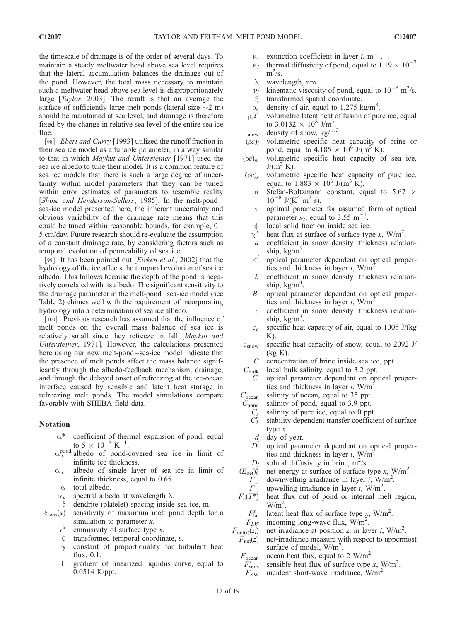the timescale of drainage is of the order of several days. To maintain a steady meltwater head above sea level requires that the lateral accumulation balances the drainage out of the pond. However, the total mass necessary to maintain such a meltwater head above sea level is disproportionately large [Taylor, 2003]. The result is that on average the surface of sufficiently large melt ponds (lateral size  $\sim$ 2 m) should be maintained at sea level, and drainage is therefore fixed by the change in relative sea level of the entire sea ice floe.

[98] *Ebert and Curry* [1993] utilized the runoff fraction in their sea ice model as a tunable parameter, in a way similar to that in which Maykut and Untersteiner [1971] used the sea ice albedo to tune their model. It is a common feature of sea ice models that there is such a large degree of uncertainty within model parameters that they can be tuned within error estimates of parameters to resemble reality [Shine and Henderson-Sellers, 1985]. In the melt-pondsea-ice model presented here, the inherent uncertainty and obvious variability of the drainage rate means that this could be tuned within reasonable bounds, for example, 0-5 cm/day. Future research should re-evaluate the assumption of a constant drainage rate, by considering factors such as temporal evolution of permeability of sea ice.

[99] It has been pointed out [*Eicken et al.*, 2002] that the hydrology of the ice affects the temporal evolution of sea ice albedo. This follows because the depth of the pond is negatively correlated with its albedo. The significant sensitivity to the drainage parameter in the melt-pond – sea-ice model (see Table 2) chimes well with the requirement of incorporating hydrology into a determination of sea ice albedo.

[100] Previous research has assumed that the influence of melt ponds on the overall mass balance of sea ice is relatively small since they refreeze in fall [Maykut and Untersteiner, 1971]. However, the calculations presented here using our new melt-pond-sea-ice model indicate that the presence of melt ponds affect the mass balance significantly through the albedo-feedback mechanism, drainage, and through the delayed onset of refreezing at the ice-ocean interface caused by sensible and latent heat storage in refreezing melt ponds. The model simulations compare favorably with SHEBA field data.

#### Notation

- $\alpha^*$  coefficient of thermal expansion of pond, equal to  $5 \times 10^{-5}$  K<sup>-1</sup>.
- $\alpha_{\infty}^{\text{pond}}$  albedo of pond-covered sea ice in limit of infinite ice thickness.
- $\alpha_{\infty}$  albedo of single layer of sea ice in limit of infinite thickness, equal to 0.65.
- $\alpha$  total albedo.
- $\alpha_{\lambda}$  spectral albedo at wavelength  $\lambda$ .
- $\delta$  dendrite (platelet) spacing inside sea ice, m.
- $\delta_{\text{sens}}(x)$  sensitivity of maximum melt pond depth for a simulation to parameter  $x$ .
	- $\epsilon^x$ emmisivity of surface type  $x$ .
	- $\zeta$  transformed temporal coordinate, s.
	- $\gamma$  constant of proportionality for turbulent heat flux, 0.1.
	- $\Gamma$  gradient of linearized liquidus curve, equal to 0.0514 K/ppt.
- $\kappa_i$  extinction coefficient in layer i, m<sup>-1</sup>.
- $\kappa_i$  extinction coefficient in layer *i*, m<sup>-1</sup>.<br>  $\kappa_i$  thermal diffusivity of pond, equal to 1.19  $\times$  10<sup>-7</sup>  $m^2/s$ .
- $\lambda$  wavelength, nm.
- $\nu_l$  kinematic viscosity of pond, equal to  $10^{-6}$  m<sup>2</sup>/s.
- $\xi$  transformed spatial coordinate.
- $\rho_a$  density of air, equal to 1.275 kg/m<sup>3</sup>.
- $\rho_s \mathcal{L}$  volumetric latent heat of fusion of pure ice, equal to  $3.0132 \times 10^8$  J/m<sup>3</sup>.
- $\rho_{\text{snow}}$  density of snow, kg/m<sup>3</sup>.
- $(\rho c)_l$  volumetric specific heat capacity of brine or pond, equal to  $4.185 \times 10^6$  J/(m<sup>3</sup> K).
- $(\rho c)_m$  volumetric specific heat capacity of sea ice,  $J/(m^3)$  K).
- $(\rho c)_s$  volumetric specific heat capacity of pure ice, equal to  $1.883 \times 10^6$  J/(m<sup>3</sup> K).
	- $\sigma$  Stefan-Boltzmann constant, equal to 5.67  $\times$  $10^{-8}$  J/(K<sup>4</sup> m<sup>2</sup> s).
	- $\tau$  optimal parameter for assumed form of optical parameter  $s_2$ , equal to 3.55 m<sup>-1</sup>.
	- local solid fraction inside sea ice.
	- $\chi^x$  heat flux at surface of surface type x, W/m<sup>2</sup>.
	- a coefficient in snow density –thickness relationship, kg/m<sup>5</sup>.
	- $A<sup>i</sup>$  optical parameter dependent on optical properties and thickness in layer *i*,  $W/m^2$ .
	- $b$  coefficient in snow density-thickness relationship,  $kg/m<sup>4</sup>$ .
	- $B<sup>i</sup>$  optical parameter dependent on optical properties and thickness in layer *i*,  $W/m^2$ .
	- $c$  coefficient in snow density-thickness relationship,  $kg/m<sup>3</sup>$ .
	- $c_a$  specific heat capacity of air, equal to 1005 J/(kg K).
- $c_{\text{snow}}$  specific heat capacity of snow, equal to 2092 J/ (kg K).
	- C concentration of brine inside sea ice, ppt.
- $C_{\text{bulk}}$  local bulk salinity, equal to 3.2 ppt.
- optical parameter dependent on optical properties and thickness in layer *i*,  $W/m^2$ .
- $C_{\text{ocean}}$  salinity of ocean, equal to 35 ppt.
- $C_{\text{pond}}$  salinity of pond, equal to 3.9 ppt.
	- $C_s$  salinity of pure ice, equal to 0 ppt.
	- $C_T^x$ stability dependent transfer coefficient of surface type x.
	- d day of year.
	- $D<sup>i</sup>$  optical parameter dependent on optical properties and thickness in layer *i*,  $W/m^2$ .
	- $D_l$  solutal diffusivity in brine, m<sup>2</sup>/s.
- $\frac{(E_{\text{net}})_0^x}{F_{\downarrow i}}$  $\frac{x}{0}$  net energy at surface of surface type x, W/m<sup>2</sup>.
	- $F_{\downarrow i}$  downwelling irradiance in layer i, W/m<sup>2</sup>.
	- $F_{1i}^{i}$  upwelling irradiance in layer i, W/m<sup>2</sup>.
- $\overrightarrow{F}_{\text{c}}$  upwelling irradiance in layer *i*, W/m<sup>-</sup>.<br> $F_c(T^*)$  heat flux out of pond or internal melt region,  $W/m<sup>2</sup>$ .
	- $\int_{\text{lat}}^{x}$  latent heat flux of surface type x, W/m<sup>2</sup>.
	- $\frac{F_{\text{lat}}^x}{F_{LW}}$  $F_{LW}$  incoming long-wave flux,  $\overline{W/m^2}$ .
- $F_{\text{net}(i)}(z_i)$  net irradiance at position  $z_i$  in layer i, W/m<sup>2</sup>.
- $F_{\text{net}}(z)$  net-irradiance measure with respect to uppermost surface of model,  $W/m^2$ .
- $F_{\text{ocean}}$  ocean heat flux, equal to 2 W/m<sup>2</sup>.  $F_{\text{cean}}$ <br> $F_{\text{sens}}^x$ 
	- $\sum_{\text{sens}}^{\text{ex}}$  sensible heat flux of surface type x, W/m<sup>2</sup>.
	- $F_{\text{SW}}$  incident short-wave irradiance, W/m<sup>2</sup>.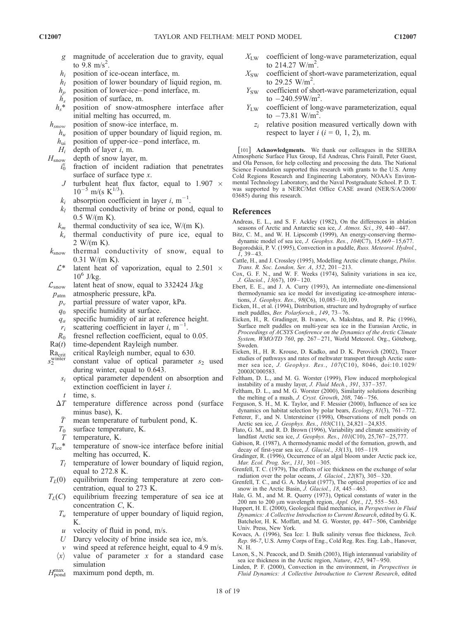- g magnitude of acceleration due to gravity, equal to  $9.8 \text{ m/s}^2$ .
- $h_i$  position of ice-ocean interface, m.
- $h_l$  position of lower boundary of liquid region, m.
- $h_p$  position of lower-ice-pond interface, m.<br> $h_s$  position of surface, m.
- $h_s$  position of surface, m.<br> $h_s^*$  position of snow-atm
- position of snow-atmosphere interface after initial melting has occurred, m.
- $h_{snow}$  position of snow-ice interface, m.
	- $h_u$  position of upper boundary of liquid region, m.
	- $h_{ui}$  position of upper-ice–pond interface, m.
	-

 $H_i$  depth of layer *i*, m.<br> $H_{\text{snow}}$  depth of snow layer depth of snow layer, m.

- $i_0$ fraction of incident radiation that penetrates surface of surface type x.
	- J turbulent heat flux factor, equal to 1.907  $\times$  $10^{-5}$  m/(s K<sup>1/3</sup>).
- $k_i$  absorption coefficient in layer i, m<sup>-1</sup>.
- $k_l$  thermal conductivity of brine or pond, equal to  $0.5$  W/(m K).
- 
- $k_m$  thermal conductivity of sea ice, W/(m K).<br>  $k_n$  thermal conductivity of pure ice, equ thermal conductivity of pure ice, equal to 2 W/(m K).
- $k_{\text{snow}}$  thermal conductivity of snow, equal to 0.31 W/(m K).
	- $L^*$  latent heat of vaporization, equal to 2.501  $\times$  $10^6$  J/kg.
- $\mathcal{L}_{\text{snow}}$  latent heat of snow, equal to 332424 J/kg
- $p_{\text{atm}}$  atmospheric pressure, kPa.
	- $p_v$  partial pressure of water vapor, kPa.
	- $q_0$  specific humidity at surface.
	- $q_a$  specific humidity of air at reference height.
	- $r_i$  scattering coefficient in layer i, m<sup>-1</sup>.
- $R_0$  fresnel reflection coefficient, equal to 0.05.
- $Ra(t)$  time-dependent Rayleigh number.
- critical Rayleigh number, equal to 630.
- $R_{\text{avinter}}$ <br> $s_2^{\text{winter}}$ constant value of optical parameter  $s_2$  used during winter, equal to 0.643.
	- $s_i$  optical parameter dependent on absorption and extinction coefficient in layer i.
	- $t$  time, s.
	- $\Delta T$  temperature difference across pond (surface minus base), K.
	- $\overline{T}$  mean temperature of turbulent pond, K.
	- $T_0$  surface temperature, K.
	- temperature, K.
	- $T_{\text{ice}}^*$  temperature of snow-ice interface before initial melting has occurred, K.
	- $T_l$  temperature of lower boundary of liquid region, equal to 272.8 K.
- $T_L(0)$  equilibrium freezing temperature at zero concentration, equal to 273 K.
- $T_L(C)$  equilibrium freezing temperature of sea ice at concentration C, K.
	- $T_u$  temperature of upper boundary of liquid region, K.
	- $u$  velocity of fluid in pond, m/s.
	- U Darcy velocity of brine inside sea ice, m/s.
	- $v$  wind speed at reference height, equal to 4.9 m/s.
	- $\langle x \rangle$  value of parameter x for a standard case simulation
- $H_{\text{pond}}^{\text{max}}$ maximum pond depth, m.
- $X_{\text{LW}}$  coefficient of long-wave parameterization, equal to  $214.27 \text{ W/m}^2$ .
- $X_{SW}$  coefficient of short-wave parameterization, equal to 29.25  $W/m^2$ .
- $Y_{SW}$  coefficient of short-wave parameterization, equal to  $-240.59 W/m^2$ .
- $Y_{\text{LW}}$  coefficient of long-wave parameterization, equal to  $-73.81$  W/m<sup>2</sup>.
- $z_i$  relative position measured vertically down with respect to layer  $i$  ( $i = 0, 1, 2$ ), m.

[101] **Acknowledgments.** We thank our colleagues in the SHEBA Atmospheric Surface Flux Group, Ed Andreas, Chris Fairall, Peter Guest, and Ola Persson, for help collecting and processing the data. The National Science Foundation supported this research with grants to the U.S. Army Cold Regions Research and Engineering Laboratory, NOAA's Environmental Technology Laboratory, and the Naval Postgraduate School. P. D. T. was supported by a NERC/Met Office CASE award (NER/S/A/2000/ 03685) during this research.

#### References

- Andreas, E. L., and S. F. Ackley (1982), On the differences in ablation seasons of Arctic and Antarctic sea ice, J. Atmos. Sci., 39, 440-447.
- Bitz, C. M., and W. H. Lipscomb (1999), An energy-conserving thermodynamic model of sea ice, *J. Geophys. Res.*, 104(C7), 15,669-15,677.
- Bogorodskii, P. V. (1995), Convection in a puddle, Russ. Meteorol. Hydrol.,  $1, 39 - 43.$
- Cattle, H., and J. Crossley (1995), Modelling Arctic climate change, Philos. Trans. R. Soc. London, Ser. A, 352, 201 – 213.
- Cox, G. F. N., and W. F. Weeks (1974), Salinity variations in sea ice, J. Glaciol., 13(67), 109 – 120.
- Ebert, E. E., and J. A. Curry (1993), An intermediate one-dimensional thermodynamic sea ice model for investigating ice-atmosphere interactions, *J. Geophys. Res.*, 98(C6), 10,085-10,109.
- Eicken, H., et al. (1994), Distribution, structure and hydrography of surface melt puddles, Ber. Polarforsch., 149, 73 – 76.
- Eicken, H., R. Gradinger, B. Ivanov, A. Makshtas, and R. Pác (1996), Surface melt puddles on multi-year sea ice in the Eurasian Arctic, in Proceedings of ACSYS Conference on the Dynamics of the Arctic Climate System, WMO/TD 760, pp. 267-271, World Meteorol. Org., Göteborg, Sweden.
- Eicken, H., H. R. Krouse, D. Kadko, and D. K. Perovich (2002), Tracer studies of pathways and rates of meltwater transport through Arctic summer sea ice, J. Geophys. Res., 107(C10), 8046, doi:10.1029/ 2000JC000583.
- Feltham, D. L., and M. G. Worster (1999), Flow induced morphological instability of a mushy layer, J. Fluid Mech., 391, 337 – 357.
- Feltham, D. L., and M. G. Worster (2000), Similarity solutions describing the melting of a mush, J. Cryst. Growth, 208, 746-756.
- Ferguson, S. H., M. K. Taylor, and F. Messier (2000), Influence of sea ice dynamics on habitat selection by polar bears,  $Ecology$ ,  $81(3)$ ,  $761-772$ .
- Fetterer, F., and N. Untersteiner (1998), Observations of melt ponds on Arctic sea ice, J. Geophys. Res., 103(C11), 24,821-24,835.
- Flato, G. M., and R. D. Brown (1996), Variability and climate sensitivity of landfast Arctic sea ice, J. Geophys. Res., 101(C10), 25,767-25,777
- Gabison, R. (1987), A thermodynamic model of the formation, growth, and decay of first-year sea ice,  $J.$  Glaciol., 33(13), 105-119.
- Gradinger, R. (1996), Occurrence of an algal bloom under Arctic pack ice, Mar. Ecol. Prog. Ser., 131, 301-305.
- Grenfell, T. C. (1979), The effects of ice thickness on the exchange of solar radiation over the polar oceans, J. Glaciol., 22(87), 305 – 320.
- Grenfell, T. C., and G. A. Maykut (1977), The optical properties of ice and snow in the Arctic Basin, J. Glaciol.,  $18$ ,  $445-463$ .
- Hale, G. M., and M. R. Querry (1973), Optical constants of water in the 200 nm to 200  $\mu$ m wavelength region, *Appl. Opt.*, 12, 555–563.
- Huppert, H. E. (2000), Geological fluid mechanics, in Perspectives in Fluid Dynamics: A Collective Introduction to Current Research, edited by G. K. Batchelor, H. K. Moffatt, and M. G. Worster, pp. 447 – 506, Cambridge Univ. Press, New York.
- Kovacs, A. (1996), Sea Ice: I. Bulk salinity versus floe thickness, Tech. Rep. 96-7, U.S. Army Corps of Eng., Cold Reg. Res. Eng. Lab., Hanover, N. H.
- Laxon, S., N. Peacock, and D. Smith (2003), High interannual variability of sea ice thickness in the Arctic region, Nature, 425, 947 – 950.
- Linden, P. F. (2000), Convection in the environment, in Perspectives in Fluid Dynamics: A Collective Introduction to Current Research, edited